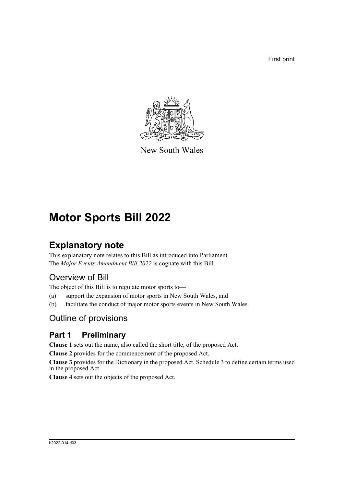First print



New South Wales

# **Motor Sports Bill 2022**

# **Explanatory note**

This explanatory note relates to this Bill as introduced into Parliament. The *Major Events Amendment Bill 2022* is cognate with this Bill.

# Overview of Bill

The object of this Bill is to regulate motor sports to—

- (a) support the expansion of motor sports in New South Wales, and
- (b) facilitate the conduct of major motor sports events in New South Wales.

# Outline of provisions

# **Part 1 Preliminary**

**Clause 1** sets out the name, also called the short title, of the proposed Act.

**Clause 2** provides for the commencement of the proposed Act.

**Clause 3** provides for the Dictionary in the proposed Act, Schedule 3 to define certain terms used in the proposed Act.

**Clause 4** sets out the objects of the proposed Act.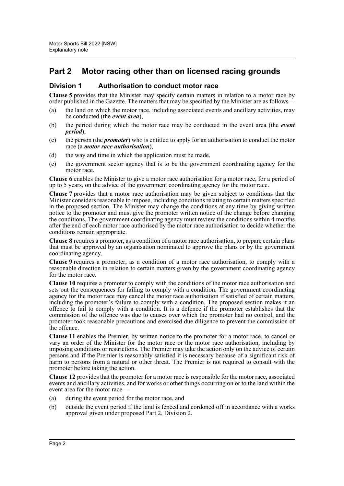## **Part 2 Motor racing other than on licensed racing grounds**

#### **Division 1 Authorisation to conduct motor race**

**Clause 5** provides that the Minister may specify certain matters in relation to a motor race by order published in the Gazette. The matters that may be specified by the Minister are as follows—

- (a) the land on which the motor race, including associated events and ancillary activities, may be conducted (the *event area*),
- (b) the period during which the motor race may be conducted in the event area (the *event period*),
- (c) the person (the *promoter*) who is entitled to apply for an authorisation to conduct the motor race (a *motor race authorisation*),
- (d) the way and time in which the application must be made,
- (e) the government sector agency that is to be the government coordinating agency for the motor race.

**Clause 6** enables the Minister to give a motor race authorisation for a motor race, for a period of up to 5 years, on the advice of the government coordinating agency for the motor race.

**Clause 7** provides that a motor race authorisation may be given subject to conditions that the Minister considers reasonable to impose, including conditions relating to certain matters specified in the proposed section. The Minister may change the conditions at any time by giving written notice to the promoter and must give the promoter written notice of the change before changing the conditions. The government coordinating agency must review the conditions within 4 months after the end of each motor race authorised by the motor race authorisation to decide whether the conditions remain appropriate.

**Clause 8** requires a promoter, as a condition of a motor race authorisation, to prepare certain plans that must be approved by an organisation nominated to approve the plans or by the government coordinating agency.

**Clause 9** requires a promoter, as a condition of a motor race authorisation, to comply with a reasonable direction in relation to certain matters given by the government coordinating agency for the motor race.

**Clause 10** requires a promoter to comply with the conditions of the motor race authorisation and sets out the consequences for failing to comply with a condition. The government coordinating agency for the motor race may cancel the motor race authorisation if satisfied of certain matters, including the promoter's failure to comply with a condition. The proposed section makes it an offence to fail to comply with a condition. It is a defence if the promoter establishes that the commission of the offence was due to causes over which the promoter had no control, and the promoter took reasonable precautions and exercised due diligence to prevent the commission of the offence.

**Clause 11** enables the Premier, by written notice to the promoter for a motor race, to cancel or vary an order of the Minister for the motor race or the motor race authorisation, including by imposing conditions or restrictions. The Premier may take the action only on the advice of certain persons and if the Premier is reasonably satisfied it is necessary because of a significant risk of harm to persons from a natural or other threat. The Premier is not required to consult with the promoter before taking the action.

**Clause 12** provides that the promoter for a motor race is responsible for the motor race, associated events and ancillary activities, and for works or other things occurring on or to the land within the event area for the motor race—

- (a) during the event period for the motor race, and
- (b) outside the event period if the land is fenced and cordoned off in accordance with a works approval given under proposed Part 2, Division 2.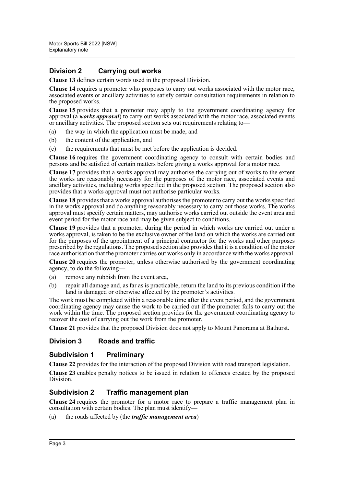#### **Division 2 Carrying out works**

**Clause 13** defines certain words used in the proposed Division.

**Clause 14** requires a promoter who proposes to carry out works associated with the motor race, associated events or ancillary activities to satisfy certain consultation requirements in relation to the proposed works.

**Clause 15** provides that a promoter may apply to the government coordinating agency for approval (a *works approval*) to carry out works associated with the motor race, associated events or ancillary activities. The proposed section sets out requirements relating to—

- (a) the way in which the application must be made, and
- (b) the content of the application, and
- (c) the requirements that must be met before the application is decided.

**Clause 16** requires the government coordinating agency to consult with certain bodies and persons and be satisfied of certain matters before giving a works approval for a motor race.

**Clause 17** provides that a works approval may authorise the carrying out of works to the extent the works are reasonably necessary for the purposes of the motor race, associated events and ancillary activities, including works specified in the proposed section. The proposed section also provides that a works approval must not authorise particular works.

**Clause 18** provides that a works approval authorises the promoter to carry out the works specified in the works approval and do anything reasonably necessary to carry out those works. The works approval must specify certain matters, may authorise works carried out outside the event area and event period for the motor race and may be given subject to conditions.

**Clause 19** provides that a promoter, during the period in which works are carried out under a works approval, is taken to be the exclusive owner of the land on which the works are carried out for the purposes of the appointment of a principal contractor for the works and other purposes prescribed by the regulations. The proposed section also provides that it is a condition of the motor race authorisation that the promoter carries out works only in accordance with the works approval.

**Clause 20** requires the promoter, unless otherwise authorised by the government coordinating agency, to do the following—

- (a) remove any rubbish from the event area,
- (b) repair all damage and, as far as is practicable, return the land to its previous condition if the land is damaged or otherwise affected by the promoter's activities.

The work must be completed within a reasonable time after the event period, and the government coordinating agency may cause the work to be carried out if the promoter fails to carry out the work within the time. The proposed section provides for the government coordinating agency to recover the cost of carrying out the work from the promoter.

**Clause 21** provides that the proposed Division does not apply to Mount Panorama at Bathurst.

#### **Division 3 Roads and traffic**

#### **Subdivision 1 Preliminary**

**Clause 22** provides for the interaction of the proposed Division with road transport legislation. **Clause 23** enables penalty notices to be issued in relation to offences created by the proposed Division.

#### **Subdivision 2 Traffic management plan**

**Clause 24** requires the promoter for a motor race to prepare a traffic management plan in consultation with certain bodies. The plan must identify—

(a) the roads affected by (the *traffic management area*)—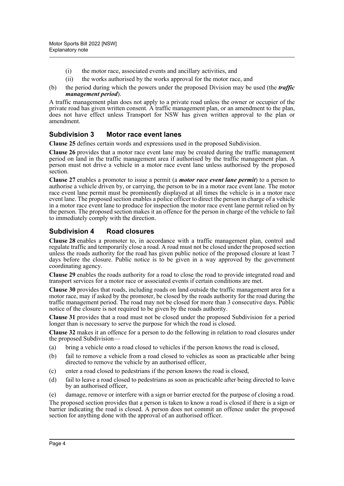- (i) the motor race, associated events and ancillary activities, and
- (ii) the works authorised by the works approval for the motor race, and
- (b) the period during which the powers under the proposed Division may be used (the *traffic management period*).

A traffic management plan does not apply to a private road unless the owner or occupier of the private road has given written consent. A traffic management plan, or an amendment to the plan, does not have effect unless Transport for NSW has given written approval to the plan or amendment.

#### **Subdivision 3 Motor race event lanes**

**Clause 25** defines certain words and expressions used in the proposed Subdivision.

**Clause 26** provides that a motor race event lane may be created during the traffic management period on land in the traffic management area if authorised by the traffic management plan. A person must not drive a vehicle in a motor race event lane unless authorised by the proposed section.

**Clause 27** enables a promoter to issue a permit (a *motor race event lane permit*) to a person to authorise a vehicle driven by, or carrying, the person to be in a motor race event lane. The motor race event lane permit must be prominently displayed at all times the vehicle is in a motor race event lane. The proposed section enables a police officer to direct the person in charge of a vehicle in a motor race event lane to produce for inspection the motor race event lane permit relied on by the person. The proposed section makes it an offence for the person in charge of the vehicle to fail to immediately comply with the direction.

#### **Subdivision 4 Road closures**

**Clause 28** enables a promoter to, in accordance with a traffic management plan, control and regulate traffic and temporarily close a road. A road must not be closed under the proposed section unless the roads authority for the road has given public notice of the proposed closure at least 7 days before the closure. Public notice is to be given in a way approved by the government coordinating agency.

**Clause 29** enables the roads authority for a road to close the road to provide integrated road and transport services for a motor race or associated events if certain conditions are met.

**Clause 30** provides that roads, including roads on land outside the traffic management area for a motor race, may if asked by the promoter, be closed by the roads authority for the road during the traffic management period. The road may not be closed for more than 3 consecutive days. Public notice of the closure is not required to be given by the roads authority.

**Clause 31** provides that a road must not be closed under the proposed Subdivision for a period longer than is necessary to serve the purpose for which the road is closed.

**Clause 32** makes it an offence for a person to do the following in relation to road closures under the proposed Subdivision—

- (a) bring a vehicle onto a road closed to vehicles if the person knows the road is closed,
- (b) fail to remove a vehicle from a road closed to vehicles as soon as practicable after being directed to remove the vehicle by an authorised officer,
- (c) enter a road closed to pedestrians if the person knows the road is closed,
- (d) fail to leave a road closed to pedestrians as soon as practicable after being directed to leave by an authorised officer,

(e) damage, remove or interfere with a sign or barrier erected for the purpose of closing a road.

The proposed section provides that a person is taken to know a road is closed if there is a sign or barrier indicating the road is closed. A person does not commit an offence under the proposed section for anything done with the approval of an authorised officer.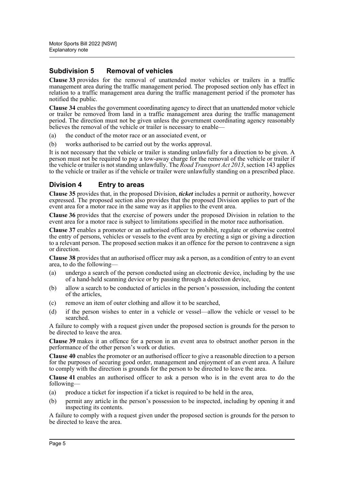#### **Subdivision 5 Removal of vehicles**

**Clause 33** provides for the removal of unattended motor vehicles or trailers in a traffic management area during the traffic management period. The proposed section only has effect in relation to a traffic management area during the traffic management period if the promoter has notified the public.

**Clause 34** enables the government coordinating agency to direct that an unattended motor vehicle or trailer be removed from land in a traffic management area during the traffic management period. The direction must not be given unless the government coordinating agency reasonably believes the removal of the vehicle or trailer is necessary to enable—

- (a) the conduct of the motor race or an associated event, or
- (b) works authorised to be carried out by the works approval.

It is not necessary that the vehicle or trailer is standing unlawfully for a direction to be given. A person must not be required to pay a tow-away charge for the removal of the vehicle or trailer if the vehicle or trailer is not standing unlawfully. The *Road Transport Act 2013*, section 143 applies to the vehicle or trailer as if the vehicle or trailer were unlawfully standing on a prescribed place.

#### **Division 4 Entry to areas**

**Clause 35** provides that, in the proposed Division, *ticket* includes a permit or authority, however expressed. The proposed section also provides that the proposed Division applies to part of the event area for a motor race in the same way as it applies to the event area.

**Clause 36** provides that the exercise of powers under the proposed Division in relation to the event area for a motor race is subject to limitations specified in the motor race authorisation.

**Clause 37** enables a promoter or an authorised officer to prohibit, regulate or otherwise control the entry of persons, vehicles or vessels to the event area by erecting a sign or giving a direction to a relevant person. The proposed section makes it an offence for the person to contravene a sign or direction.

**Clause 38** provides that an authorised officer may ask a person, as a condition of entry to an event area, to do the following-

- (a) undergo a search of the person conducted using an electronic device, including by the use of a hand-held scanning device or by passing through a detection device,
- (b) allow a search to be conducted of articles in the person's possession, including the content of the articles,
- (c) remove an item of outer clothing and allow it to be searched,
- (d) if the person wishes to enter in a vehicle or vessel—allow the vehicle or vessel to be searched.

A failure to comply with a request given under the proposed section is grounds for the person to be directed to leave the area.

**Clause 39** makes it an offence for a person in an event area to obstruct another person in the performance of the other person's work or duties.

**Clause 40** enables the promoter or an authorised officer to give a reasonable direction to a person for the purposes of securing good order, management and enjoyment of an event area. A failure to comply with the direction is grounds for the person to be directed to leave the area.

**Clause 41** enables an authorised officer to ask a person who is in the event area to do the following—

- (a) produce a ticket for inspection if a ticket is required to be held in the area,
- (b) permit any article in the person's possession to be inspected, including by opening it and inspecting its contents.

A failure to comply with a request given under the proposed section is grounds for the person to be directed to leave the area.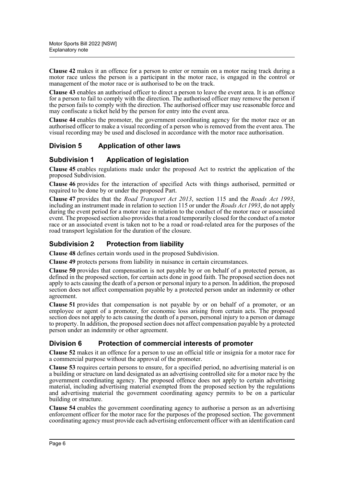**Clause 42** makes it an offence for a person to enter or remain on a motor racing track during a motor race unless the person is a participant in the motor race, is engaged in the control or management of the motor race or is authorised to be on the track.

**Clause 43** enables an authorised officer to direct a person to leave the event area. It is an offence for a person to fail to comply with the direction. The authorised officer may remove the person if the person fails to comply with the direction. The authorised officer may use reasonable force and may confiscate a ticket held by the person for entry into the event area.

**Clause 44** enables the promoter, the government coordinating agency for the motor race or an authorised officer to make a visual recording of a person who is removed from the event area. The visual recording may be used and disclosed in accordance with the motor race authorisation.

#### **Division 5 Application of other laws**

#### **Subdivision 1 Application of legislation**

**Clause 45** enables regulations made under the proposed Act to restrict the application of the proposed Subdivision.

**Clause 46** provides for the interaction of specified Acts with things authorised, permitted or required to be done by or under the proposed Part.

**Clause 47** provides that the *Road Transport Act 2013*, section 115 and the *Roads Act 1993*, including an instrument made in relation to section 115 or under the *Roads Act 1993*, do not apply during the event period for a motor race in relation to the conduct of the motor race or associated event. The proposed section also provides that a road temporarily closed for the conduct of a motor race or an associated event is taken not to be a road or road-related area for the purposes of the road transport legislation for the duration of the closure.

#### **Subdivision 2 Protection from liability**

**Clause 48** defines certain words used in the proposed Subdivision.

**Clause 49** protects persons from liability in nuisance in certain circumstances.

**Clause 50** provides that compensation is not payable by or on behalf of a protected person, as defined in the proposed section, for certain acts done in good faith. The proposed section does not apply to acts causing the death of a person or personal injury to a person. In addition, the proposed section does not affect compensation payable by a protected person under an indemnity or other agreement.

**Clause 51** provides that compensation is not payable by or on behalf of a promoter, or an employee or agent of a promoter, for economic loss arising from certain acts. The proposed section does not apply to acts causing the death of a person, personal injury to a person or damage to property. In addition, the proposed section does not affect compensation payable by a protected person under an indemnity or other agreement.

#### **Division 6 Protection of commercial interests of promoter**

**Clause 52** makes it an offence for a person to use an official title or insignia for a motor race for a commercial purpose without the approval of the promoter.

**Clause 53** requires certain persons to ensure, for a specified period, no advertising material is on a building or structure on land designated as an advertising controlled site for a motor race by the government coordinating agency. The proposed offence does not apply to certain advertising material, including advertising material exempted from the proposed section by the regulations and advertising material the government coordinating agency permits to be on a particular building or structure.

**Clause 54** enables the government coordinating agency to authorise a person as an advertising enforcement officer for the motor race for the purposes of the proposed section. The government coordinating agency must provide each advertising enforcement officer with an identification card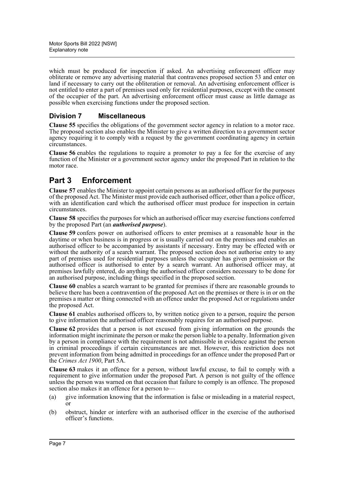which must be produced for inspection if asked. An advertising enforcement officer may obliterate or remove any advertising material that contravenes proposed section 53 and enter on land if necessary to carry out the obliteration or removal. An advertising enforcement officer is not entitled to enter a part of premises used only for residential purposes, except with the consent of the occupier of the part. An advertising enforcement officer must cause as little damage as possible when exercising functions under the proposed section.

#### **Division 7 Miscellaneous**

**Clause 55** specifies the obligations of the government sector agency in relation to a motor race. The proposed section also enables the Minister to give a written direction to a government sector agency requiring it to comply with a request by the government coordinating agency in certain circumstances.

**Clause 56** enables the regulations to require a promoter to pay a fee for the exercise of any function of the Minister or a government sector agency under the proposed Part in relation to the motor race.

# **Part 3 Enforcement**

**Clause 57** enables the Minister to appoint certain persons as an authorised officer for the purposes of the proposed Act. The Minister must provide each authorised officer, other than a police officer, with an identification card which the authorised officer must produce for inspection in certain circumstances.

**Clause 58** specifies the purposes for which an authorised officer may exercise functions conferred by the proposed Part (an *authorised purpose*).

**Clause 59** confers power on authorised officers to enter premises at a reasonable hour in the daytime or when business is in progress or is usually carried out on the premises and enables an authorised officer to be accompanied by assistants if necessary. Entry may be effected with or without the authority of a search warrant. The proposed section does not authorise entry to any part of premises used for residential purposes unless the occupier has given permission or the authorised officer is authorised to enter by a search warrant. An authorised officer may, at premises lawfully entered, do anything the authorised officer considers necessary to be done for an authorised purpose, including things specified in the proposed section.

**Clause 60** enables a search warrant to be granted for premises if there are reasonable grounds to believe there has been a contravention of the proposed Act on the premises or there is in or on the premises a matter or thing connected with an offence under the proposed Act or regulations under the proposed Act.

**Clause 61** enables authorised officers to, by written notice given to a person, require the person to give information the authorised officer reasonably requires for an authorised purpose.

**Clause 62** provides that a person is not excused from giving information on the grounds the information might incriminate the person or make the person liable to a penalty. Information given by a person in compliance with the requirement is not admissible in evidence against the person in criminal proceedings if certain circumstances are met. However, this restriction does not prevent information from being admitted in proceedings for an offence under the proposed Part or the *Crimes Act 1900*, Part 5A.

**Clause 63** makes it an offence for a person, without lawful excuse, to fail to comply with a requirement to give information under the proposed Part. A person is not guilty of the offence unless the person was warned on that occasion that failure to comply is an offence. The proposed section also makes it an offence for a person to—

- (a) give information knowing that the information is false or misleading in a material respect, or
- (b) obstruct, hinder or interfere with an authorised officer in the exercise of the authorised officer's functions.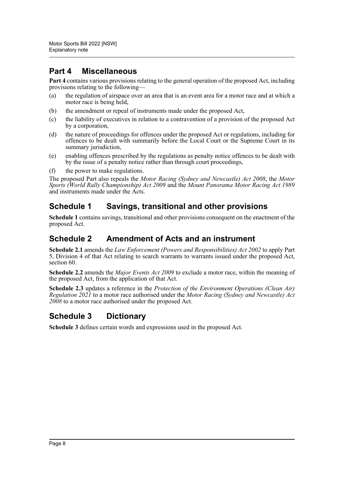# **Part 4 Miscellaneous**

**Part 4** contains various provisions relating to the general operation of the proposed Act, including provisions relating to the following—

- (a) the regulation of airspace over an area that is an event area for a motor race and at which a motor race is being held,
- (b) the amendment or repeal of instruments made under the proposed Act,
- (c) the liability of executives in relation to a contravention of a provision of the proposed Act by a corporation,
- (d) the nature of proceedings for offences under the proposed Act or regulations, including for offences to be dealt with summarily before the Local Court or the Supreme Court in its summary jurisdiction,
- (e) enabling offences prescribed by the regulations as penalty notice offences to be dealt with by the issue of a penalty notice rather than through court proceedings,
- (f) the power to make regulations.

The proposed Part also repeals the *Motor Racing (Sydney and Newcastle) Act 2008*, the *Motor Sports (World Rally Championship) Act 2009* and the *Mount Panorama Motor Racing Act 1989* and instruments made under the Acts.

### **Schedule 1 Savings, transitional and other provisions**

**Schedule 1** contains savings, transitional and other provisions consequent on the enactment of the proposed Act.

### **Schedule 2 Amendment of Acts and an instrument**

**Schedule 2.1** amends the *Law Enforcement (Powers and Responsibilities) Act 2002* to apply Part 5, Division 4 of that Act relating to search warrants to warrants issued under the proposed Act, section 60.

**Schedule 2.2** amends the *Major Events Act 2009* to exclude a motor race, within the meaning of the proposed Act, from the application of that Act.

**Schedule 2.3** updates a reference in the *Protection of the Environment Operations (Clean Air) Regulation 2021* to a motor race authorised under the *Motor Racing (Sydney and Newcastle) Act 2008* to a motor race authorised under the proposed Act.

# **Schedule 3 Dictionary**

**Schedule 3** defines certain words and expressions used in the proposed Act.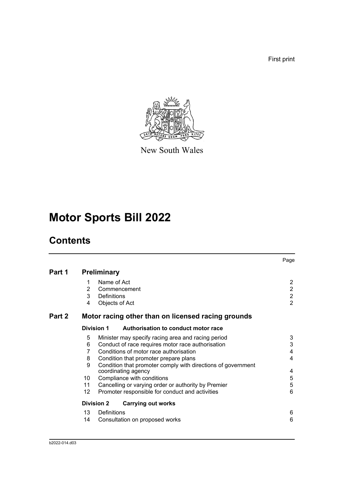First print



New South Wales

# **Motor Sports Bill 2022**

# **Contents**

|        |                 |                                                              | Page           |
|--------|-----------------|--------------------------------------------------------------|----------------|
| Part 1 |                 | <b>Preliminary</b>                                           |                |
|        | 1               | Name of Act                                                  | $\overline{2}$ |
|        | 2               | Commencement                                                 | $\overline{2}$ |
|        | 3               | Definitions                                                  | $\overline{2}$ |
|        | 4               | Objects of Act                                               | $\overline{2}$ |
| Part 2 |                 | Motor racing other than on licensed racing grounds           |                |
|        |                 | <b>Division 1</b><br>Authorisation to conduct motor race     |                |
|        | 5               | Minister may specify racing area and racing period           | 3              |
|        | 6               | Conduct of race requires motor race authorisation            | 3              |
|        | 7               | Conditions of motor race authorisation                       | 4              |
|        | 8               | Condition that promoter prepare plans                        | 4              |
|        | 9               | Condition that promoter comply with directions of government |                |
|        |                 | coordinating agency                                          | 4              |
|        | 10              | Compliance with conditions                                   | 5              |
|        | 11              | Cancelling or varying order or authority by Premier          | 5              |
|        | 12 <sup>°</sup> | Promoter responsible for conduct and activities              | $6\phantom{1}$ |
|        |                 | <b>Division 2</b><br><b>Carrying out works</b>               |                |
|        | 13              | Definitions                                                  | 6              |
|        | 14              | Consultation on proposed works                               | 6              |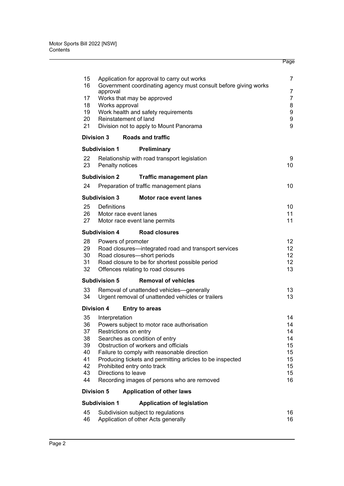| 15       |                                                    | Application for approval to carry out works                                                   | 7              |
|----------|----------------------------------------------------|-----------------------------------------------------------------------------------------------|----------------|
| 16       | approval                                           | Government coordinating agency must consult before giving works                               | 7              |
| 17       |                                                    | Works that may be approved                                                                    | $\overline{7}$ |
| 18<br>19 | Works approval                                     | Work health and safety requirements                                                           | 8<br>9         |
| 20       | Reinstatement of land                              |                                                                                               | 9              |
| 21       |                                                    | Division not to apply to Mount Panorama                                                       | 9              |
|          | <b>Division 3</b>                                  | <b>Roads and traffic</b>                                                                      |                |
|          | <b>Subdivision 1</b>                               | Preliminary                                                                                   |                |
| 22<br>23 | Penalty notices                                    | Relationship with road transport legislation                                                  | 9<br>10        |
|          | <b>Subdivision 2</b>                               | <b>Traffic management plan</b>                                                                |                |
| 24       |                                                    | Preparation of traffic management plans                                                       | 10             |
|          | <b>Subdivision 3</b>                               | <b>Motor race event lanes</b>                                                                 |                |
| 25       | Definitions                                        |                                                                                               | 10             |
| 26<br>27 | Motor race event lanes                             | Motor race event lane permits                                                                 | 11<br>11       |
|          | <b>Subdivision 4</b>                               | <b>Road closures</b>                                                                          |                |
| 28       | Powers of promoter                                 |                                                                                               | 12             |
| 29       |                                                    | Road closures-integrated road and transport services                                          | 12             |
| 30       |                                                    | Road closures-short periods                                                                   | 12             |
| 31<br>32 |                                                    | Road closure to be for shortest possible period<br>Offences relating to road closures         | 12<br>13       |
|          |                                                    |                                                                                               |                |
| 33       | <b>Subdivision 5</b>                               | <b>Removal of vehicles</b>                                                                    | 13             |
| 34       |                                                    | Removal of unattended vehicles-generally<br>Urgent removal of unattended vehicles or trailers | 13             |
|          | <b>Division 4</b>                                  | <b>Entry to areas</b>                                                                         |                |
| 35       | Interpretation                                     |                                                                                               | 14             |
| 36       |                                                    | Powers subject to motor race authorisation                                                    | 14             |
| 37<br>38 | Restrictions on entry                              | Searches as condition of entry                                                                | 14<br>14       |
| 39       |                                                    | Obstruction of workers and officials                                                          | 15             |
| 40       |                                                    | Failure to comply with reasonable direction                                                   | 15             |
| 41       |                                                    | Producing tickets and permitting articles to be inspected                                     | 15             |
| 42<br>43 | Prohibited entry onto track<br>Directions to leave |                                                                                               | 15<br>15       |
| 44       |                                                    | Recording images of persons who are removed                                                   | 16             |
|          | <b>Division 5</b>                                  | <b>Application of other laws</b>                                                              |                |
|          | <b>Subdivision 1</b>                               | <b>Application of legislation</b>                                                             |                |
| 45       |                                                    | Subdivision subject to regulations                                                            | 16             |
| 46       |                                                    | Application of other Acts generally                                                           | 16             |
|          |                                                    |                                                                                               |                |

Page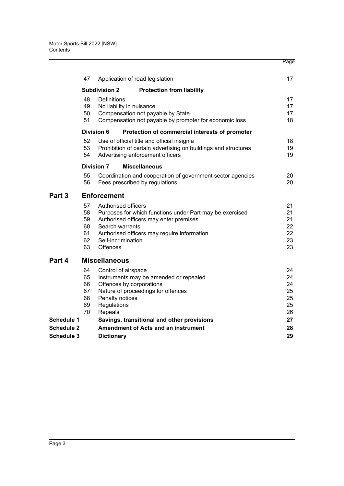|                                        |                                        |                                                                                              |                                                                                                                                                   | Page                                   |
|----------------------------------------|----------------------------------------|----------------------------------------------------------------------------------------------|---------------------------------------------------------------------------------------------------------------------------------------------------|----------------------------------------|
|                                        | 47                                     |                                                                                              | Application of road legislation                                                                                                                   | 17                                     |
|                                        |                                        | <b>Subdivision 2</b>                                                                         | <b>Protection from liability</b>                                                                                                                  |                                        |
|                                        | 48<br>49<br>50<br>51                   | Definitions<br>No liability in nuisance                                                      | Compensation not payable by State<br>Compensation not payable by promoter for economic loss                                                       | 17<br>17<br>17<br>18                   |
|                                        |                                        | Division 6                                                                                   | Protection of commercial interests of promoter                                                                                                    |                                        |
|                                        | 52<br>53<br>54                         |                                                                                              | Use of official title and official insignia<br>Prohibition of certain advertising on buildings and structures<br>Advertising enforcement officers | 18<br>19<br>19                         |
|                                        |                                        | <b>Division 7</b>                                                                            | <b>Miscellaneous</b>                                                                                                                              |                                        |
|                                        | 55<br>56                               |                                                                                              | Coordination and cooperation of government sector agencies<br>Fees prescribed by regulations                                                      | 20<br>20                               |
| Part 3                                 |                                        | <b>Enforcement</b>                                                                           |                                                                                                                                                   |                                        |
|                                        | 57<br>58<br>59<br>60<br>61<br>62<br>63 | Authorised officers<br>Search warrants<br>Self-incrimination<br><b>Offences</b>              | Purposes for which functions under Part may be exercised<br>Authorised officers may enter premises<br>Authorised officers may require information | 21<br>21<br>21<br>22<br>22<br>23<br>23 |
| Part 4                                 |                                        | <b>Miscellaneous</b>                                                                         |                                                                                                                                                   |                                        |
|                                        | 64<br>65<br>66<br>67<br>68<br>69<br>70 | Control of airspace<br>Offences by corporations<br>Penalty notices<br>Regulations<br>Repeals | Instruments may be amended or repealed<br>Nature of proceedings for offences                                                                      | 24<br>24<br>24<br>25<br>25<br>25<br>26 |
| Schedule 1                             |                                        |                                                                                              | Savings, transitional and other provisions                                                                                                        | 27                                     |
| <b>Schedule 2</b><br><b>Schedule 3</b> |                                        | <b>Dictionary</b>                                                                            | <b>Amendment of Acts and an instrument</b>                                                                                                        | 28<br>29                               |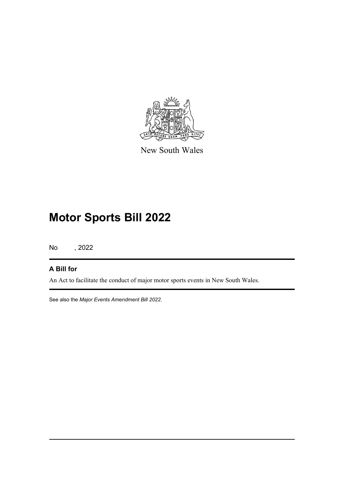

New South Wales

# **Motor Sports Bill 2022**

No , 2022

#### **A Bill for**

An Act to facilitate the conduct of major motor sports events in New South Wales.

See also the *Major Events Amendment Bill 2022*.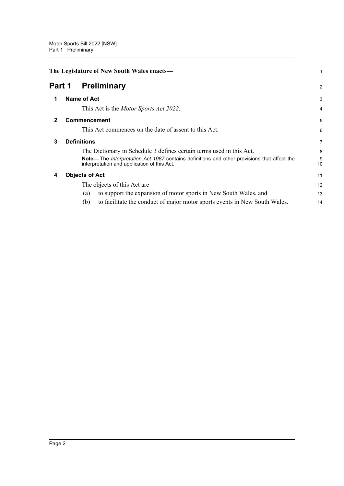<span id="page-12-4"></span><span id="page-12-3"></span><span id="page-12-2"></span><span id="page-12-1"></span><span id="page-12-0"></span>

|        | The Legislature of New South Wales enacts- |                                                                                                                                                   |                |
|--------|--------------------------------------------|---------------------------------------------------------------------------------------------------------------------------------------------------|----------------|
| Part 1 |                                            | <b>Preliminary</b>                                                                                                                                | 2              |
|        |                                            | <b>Name of Act</b>                                                                                                                                | 3              |
|        |                                            | This Act is the <i>Motor Sports Act 2022</i> .                                                                                                    | $\overline{4}$ |
| 2      |                                            | <b>Commencement</b>                                                                                                                               | 5              |
|        |                                            | This Act commences on the date of assent to this Act.                                                                                             | 6              |
| 3      |                                            | <b>Definitions</b>                                                                                                                                | $\overline{7}$ |
|        |                                            | The Dictionary in Schedule 3 defines certain terms used in this Act.                                                                              | 8              |
|        |                                            | Note— The <i>Interpretation Act 1987</i> contains definitions and other provisions that affect the<br>interpretation and application of this Act. | 9<br>10        |
| 4      |                                            | <b>Objects of Act</b>                                                                                                                             | 11             |
|        |                                            | The objects of this Act are—                                                                                                                      | 12             |
|        |                                            | to support the expansion of motor sports in New South Wales, and<br>(a)                                                                           | 13             |
|        |                                            | (b)<br>to facilitate the conduct of major motor sports events in New South Wales.                                                                 | 14             |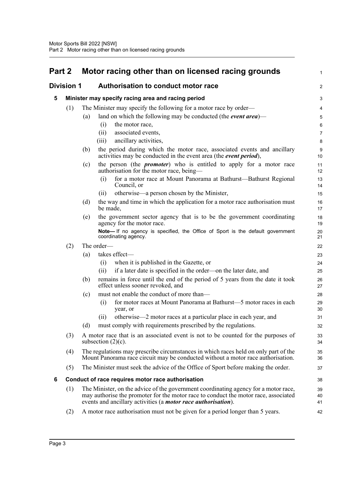<span id="page-13-3"></span><span id="page-13-2"></span><span id="page-13-1"></span><span id="page-13-0"></span>

| Part 2            |     | Motor racing other than on licensed racing grounds                                                                                                                      | 1              |
|-------------------|-----|-------------------------------------------------------------------------------------------------------------------------------------------------------------------------|----------------|
| <b>Division 1</b> |     | <b>Authorisation to conduct motor race</b>                                                                                                                              | $\overline{a}$ |
| 5                 |     | Minister may specify racing area and racing period                                                                                                                      | 3              |
|                   | (1) | The Minister may specify the following for a motor race by order—                                                                                                       | 4              |
|                   |     | land on which the following may be conducted (the <i>event area</i> )—<br>(a)                                                                                           | 5              |
|                   |     | the motor race,<br>(i)                                                                                                                                                  | 6              |
|                   |     | associated events,<br>(ii)                                                                                                                                              | 7              |
|                   |     | ancillary activities,<br>(iii)                                                                                                                                          | 8              |
|                   |     | the period during which the motor race, associated events and ancillary<br>(b)<br>activities may be conducted in the event area (the event period),                     | 9<br>10        |
|                   |     | the person (the <i>promoter</i> ) who is entitled to apply for a motor race<br>(c)<br>authorisation for the motor race, being-                                          | 11<br>12       |
|                   |     | for a motor race at Mount Panorama at Bathurst—Bathurst Regional<br>(i)<br>Council, or                                                                                  | 13<br>14       |
|                   |     | otherwise—a person chosen by the Minister,<br>(i)                                                                                                                       | 15             |
|                   |     | (d)<br>the way and time in which the application for a motor race authorisation must<br>be made,                                                                        | 16<br>17       |
|                   |     | the government sector agency that is to be the government coordinating<br>(e)<br>agency for the motor race.                                                             | 18<br>19       |
|                   |     | Note- If no agency is specified, the Office of Sport is the default government<br>coordinating agency.                                                                  | 20<br>21       |
|                   | (2) | The order-                                                                                                                                                              | 22             |
|                   |     | takes effect-<br>(a)                                                                                                                                                    | 23             |
|                   |     | when it is published in the Gazette, or<br>(i)                                                                                                                          | 24             |
|                   |     | if a later date is specified in the order—on the later date, and<br>(ii)                                                                                                | 25             |
|                   |     | remains in force until the end of the period of 5 years from the date it took<br>(b)<br>effect unless sooner revoked, and                                               | 26<br>27       |
|                   |     | must not enable the conduct of more than-<br>(c)                                                                                                                        | 28             |
|                   |     | for motor races at Mount Panorama at Bathurst—5 motor races in each<br>(i)<br>year, or                                                                                  | 29<br>30       |
|                   |     | otherwise—2 motor races at a particular place in each year, and<br>(ii)                                                                                                 | 31             |
|                   |     | (d)<br>must comply with requirements prescribed by the regulations.                                                                                                     | 32             |
|                   | (3) | A motor race that is an associated event is not to be counted for the purposes of<br>subsection $(2)(c)$ .                                                              | 33<br>34       |
|                   | (4) | The regulations may prescribe circumstances in which races held on only part of the<br>Mount Panorama race circuit may be conducted without a motor race authorisation. | 35<br>36       |
|                   | (5) | The Minister must seek the advice of the Office of Sport before making the order.                                                                                       | 37             |
| 6                 |     | Conduct of race requires motor race authorisation                                                                                                                       | 38             |
|                   | (1) | The Minister, on the advice of the government coordinating agency for a motor race,                                                                                     | 39             |
|                   |     | may authorise the promoter for the motor race to conduct the motor race, associated<br>events and ancillary activities (a <i>motor race authorisation</i> ).            | 40<br>41       |
|                   | (2) | A motor race authorisation must not be given for a period longer than 5 years.                                                                                          | 42             |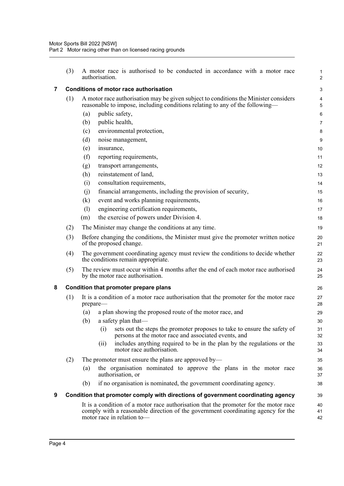<span id="page-14-2"></span><span id="page-14-1"></span><span id="page-14-0"></span>

|                         | (3) | A motor race is authorised to be conducted in accordance with a motor race<br>authorisation.                                                                                                           | 1<br>$\overline{c}$          |
|-------------------------|-----|--------------------------------------------------------------------------------------------------------------------------------------------------------------------------------------------------------|------------------------------|
| $\overline{\mathbf{7}}$ |     | <b>Conditions of motor race authorisation</b>                                                                                                                                                          | 3                            |
|                         | (1) | A motor race authorisation may be given subject to conditions the Minister considers<br>reasonable to impose, including conditions relating to any of the following—                                   | $\overline{\mathbf{4}}$<br>5 |
|                         |     | public safety,<br>(a)                                                                                                                                                                                  | 6                            |
|                         |     | public health,<br>(b)                                                                                                                                                                                  | $\overline{7}$               |
|                         |     | (c)<br>environmental protection,                                                                                                                                                                       | 8                            |
|                         |     | (d)<br>noise management,                                                                                                                                                                               | 9                            |
|                         |     | (e)<br>insurance,                                                                                                                                                                                      | 10                           |
|                         |     | (f)<br>reporting requirements,                                                                                                                                                                         | 11                           |
|                         |     | transport arrangements,<br>(g)                                                                                                                                                                         | 12                           |
|                         |     | reinstatement of land,<br>(h)                                                                                                                                                                          | 13                           |
|                         |     | consultation requirements,<br>(i)                                                                                                                                                                      | 14                           |
|                         |     | financial arrangements, including the provision of security,<br>(j)                                                                                                                                    | 15                           |
|                         |     | event and works planning requirements,<br>(k)                                                                                                                                                          | 16                           |
|                         |     | (1)<br>engineering certification requirements,                                                                                                                                                         | 17                           |
|                         |     | the exercise of powers under Division 4.<br>(m)                                                                                                                                                        | 18                           |
|                         | (2) | The Minister may change the conditions at any time.                                                                                                                                                    | 19                           |
|                         | (3) | Before changing the conditions, the Minister must give the promoter written notice<br>of the proposed change.                                                                                          | 20<br>21                     |
|                         | (4) | The government coordinating agency must review the conditions to decide whether<br>the conditions remain appropriate.                                                                                  | 22<br>23                     |
|                         | (5) | The review must occur within 4 months after the end of each motor race authorised<br>by the motor race authorisation.                                                                                  | 24<br>25                     |
| 8                       |     | Condition that promoter prepare plans                                                                                                                                                                  | 26                           |
|                         | (1) | It is a condition of a motor race authorisation that the promoter for the motor race<br>prepare-                                                                                                       | 27<br>28                     |
|                         |     | a plan showing the proposed route of the motor race, and<br>(a)                                                                                                                                        | 29                           |
|                         |     | (b)<br>a safety plan that-                                                                                                                                                                             | 30                           |
|                         |     | sets out the steps the promoter proposes to take to ensure the safety of<br>(i)<br>persons at the motor race and associated events, and                                                                | 31<br>32                     |
|                         |     | includes anything required to be in the plan by the regulations or the<br>(ii)<br>motor race authorisation.                                                                                            | 33<br>34                     |
|                         | (2) | The promoter must ensure the plans are approved by—                                                                                                                                                    | 35                           |
|                         |     | the organisation nominated to approve the plans in the motor race<br>(a)<br>authorisation, or                                                                                                          | 36<br>37                     |
|                         |     | if no organisation is nominated, the government coordinating agency.<br>(b)                                                                                                                            | 38                           |
| 9                       |     | Condition that promoter comply with directions of government coordinating agency                                                                                                                       | 39                           |
|                         |     | It is a condition of a motor race authorisation that the promoter for the motor race<br>comply with a reasonable direction of the government coordinating agency for the<br>motor race in relation to- | 40<br>41<br>42               |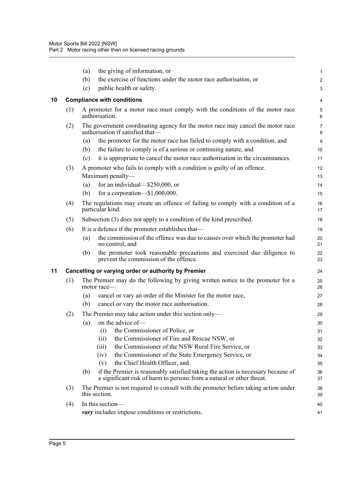<span id="page-15-1"></span><span id="page-15-0"></span>

|    |     | (a) | the giving of information, or                                                                                                                             | 1                       |
|----|-----|-----|-----------------------------------------------------------------------------------------------------------------------------------------------------------|-------------------------|
|    |     | (b) | the exercise of functions under the motor race authorisation, or                                                                                          | $\overline{\mathbf{c}}$ |
|    |     | (c) | public health or safety.                                                                                                                                  | 3                       |
| 10 |     |     | <b>Compliance with conditions</b>                                                                                                                         | 4                       |
|    | (1) |     | A promoter for a motor race must comply with the conditions of the motor race<br>authorisation.                                                           | 5<br>6                  |
|    | (2) |     | The government coordinating agency for the motor race may cancel the motor race<br>authorisation if satisfied that-                                       | 7<br>8                  |
|    |     | (a) | the promoter for the motor race has failed to comply with a condition, and                                                                                | 9                       |
|    |     | (b) | the failure to comply is of a serious or continuing nature, and                                                                                           | 10                      |
|    |     | (c) | it is appropriate to cancel the motor race authorisation in the circumstances.                                                                            | 11                      |
|    | (3) |     | A promoter who fails to comply with a condition is guilty of an offence.                                                                                  | 12                      |
|    |     |     | Maximum penalty-                                                                                                                                          | 13                      |
|    |     | (a) | for an individual-\$250,000, or                                                                                                                           | 14                      |
|    |     | (b) | for a corporation- $$1,000,000$ .                                                                                                                         | 15                      |
|    | (4) |     | The regulations may create an offence of failing to comply with a condition of a<br>particular kind.                                                      | 16<br>17                |
|    | (5) |     | Subsection (3) does not apply to a condition of the kind prescribed.                                                                                      | 18                      |
|    | (6) |     | It is a defence if the promoter establishes that—                                                                                                         | 19                      |
|    |     | (a) | the commission of the offence was due to causes over which the promoter had<br>no control, and                                                            | 20<br>21                |
|    |     | (b) | the promoter took reasonable precautions and exercised due diligence to<br>prevent the commission of the offence.                                         | 22<br>23                |
| 11 |     |     | Cancelling or varying order or authority by Premier                                                                                                       | 24                      |
|    | (1) |     | The Premier may do the following by giving written notice to the promoter for a<br>motor race-                                                            | 25<br>26                |
|    |     | (a) | cancel or vary an order of the Minister for the motor race,                                                                                               | 27                      |
|    |     | (b) | cancel or vary the motor race authorisation.                                                                                                              | 28                      |
|    | (2) |     | The Premier may take action under this section only—                                                                                                      | 29                      |
|    |     | (a) | on the advice of-                                                                                                                                         | 30                      |
|    |     |     | the Commissioner of Police, or<br>(i)                                                                                                                     | 31                      |
|    |     |     | the Commissioner of Fire and Rescue NSW, or<br>(ii)                                                                                                       | 32                      |
|    |     |     | the Commissioner of the NSW Rural Fire Service, or<br>(iii)                                                                                               | 33                      |
|    |     |     | the Commissioner of the State Emergency Service, or<br>(iv)                                                                                               | 34                      |
|    |     |     | the Chief Health Officer, and<br>(v)                                                                                                                      | 35                      |
|    |     | (b) | if the Premier is reasonably satisfied taking the action is necessary because of<br>a significant risk of harm to persons from a natural or other threat. | 36<br>37                |
|    | (3) |     | The Premier is not required to consult with the promoter before taking action under<br>this section.                                                      | 38<br>39                |
|    | (4) |     | In this section-                                                                                                                                          | 40                      |
|    |     |     | <i>vary</i> includes impose conditions or restrictions.                                                                                                   | 41                      |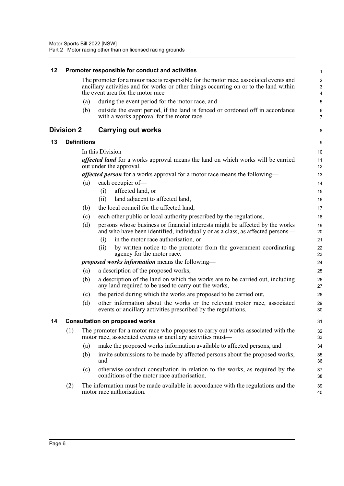<span id="page-16-3"></span><span id="page-16-2"></span><span id="page-16-1"></span><span id="page-16-0"></span>

| 12 |                   |                    | Promoter responsible for conduct and activities                                                                                                                                                                       | $\mathbf{1}$                                                    |
|----|-------------------|--------------------|-----------------------------------------------------------------------------------------------------------------------------------------------------------------------------------------------------------------------|-----------------------------------------------------------------|
|    |                   |                    | The promoter for a motor race is responsible for the motor race, associated events and<br>ancillary activities and for works or other things occurring on or to the land within<br>the event area for the motor race— | $\boldsymbol{2}$<br>$\ensuremath{\mathsf{3}}$<br>$\overline{4}$ |
|    |                   | (a)                | during the event period for the motor race, and                                                                                                                                                                       | 5                                                               |
|    |                   | (b)                | outside the event period, if the land is fenced or cordoned off in accordance<br>with a works approval for the motor race.                                                                                            | 6<br>$\overline{7}$                                             |
|    | <b>Division 2</b> |                    | <b>Carrying out works</b>                                                                                                                                                                                             | 8                                                               |
| 13 |                   | <b>Definitions</b> |                                                                                                                                                                                                                       | 9                                                               |
|    |                   |                    | In this Division—                                                                                                                                                                                                     | 10                                                              |
|    |                   |                    | affected land for a works approval means the land on which works will be carried<br>out under the approval.                                                                                                           | 11<br>12                                                        |
|    |                   |                    | affected person for a works approval for a motor race means the following-                                                                                                                                            | 13                                                              |
|    |                   | (a)                | each occupier of-                                                                                                                                                                                                     | 14                                                              |
|    |                   |                    | affected land, or<br>(i)                                                                                                                                                                                              | 15                                                              |
|    |                   |                    | land adjacent to affected land,<br>(ii)                                                                                                                                                                               | 16                                                              |
|    |                   | (b)                | the local council for the affected land,                                                                                                                                                                              | 17                                                              |
|    |                   | (c)                | each other public or local authority prescribed by the regulations,                                                                                                                                                   | 18                                                              |
|    |                   | (d)                | persons whose business or financial interests might be affected by the works<br>and who have been identified, individually or as a class, as affected persons—                                                        | 19<br>20                                                        |
|    |                   |                    | in the motor race authorisation, or<br>(i)                                                                                                                                                                            | 21                                                              |
|    |                   |                    | by written notice to the promoter from the government coordinating<br>(ii)<br>agency for the motor race.                                                                                                              | 22<br>23                                                        |
|    |                   |                    | <i>proposed works information</i> means the following-                                                                                                                                                                | 24                                                              |
|    |                   | (a)                | a description of the proposed works,                                                                                                                                                                                  | 25                                                              |
|    |                   | (b)                | a description of the land on which the works are to be carried out, including<br>any land required to be used to carry out the works,                                                                                 | 26<br>27                                                        |
|    |                   | (c)                | the period during which the works are proposed to be carried out,                                                                                                                                                     | 28                                                              |
|    |                   | (d)                | other information about the works or the relevant motor race, associated<br>events or ancillary activities prescribed by the regulations.                                                                             | 29<br>30                                                        |
| 14 |                   |                    | <b>Consultation on proposed works</b>                                                                                                                                                                                 | 31                                                              |
|    | (1)               |                    | The promoter for a motor race who proposes to carry out works associated with the<br>motor race, associated events or ancillary activities must-                                                                      | 32<br>33                                                        |
|    |                   | (a)                | make the proposed works information available to affected persons, and                                                                                                                                                | 34                                                              |
|    |                   | (b)                | invite submissions to be made by affected persons about the proposed works,<br>and                                                                                                                                    | 35<br>36                                                        |
|    |                   | (c)                | otherwise conduct consultation in relation to the works, as required by the<br>conditions of the motor race authorisation.                                                                                            | 37<br>38                                                        |
|    | (2)               |                    | The information must be made available in accordance with the regulations and the<br>motor race authorisation.                                                                                                        | 39<br>40                                                        |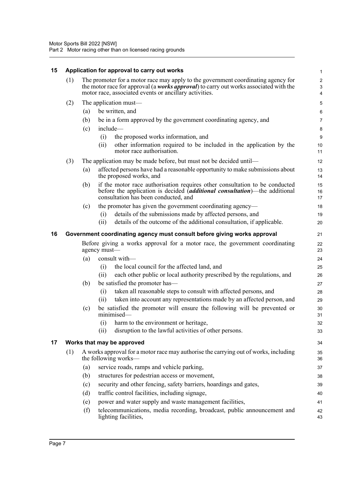<span id="page-17-2"></span><span id="page-17-1"></span><span id="page-17-0"></span>

| 15 |                                                                          |     | Application for approval to carry out works                                                                                                                                                                                          | $\mathbf{1}$                                                    |
|----|--------------------------------------------------------------------------|-----|--------------------------------------------------------------------------------------------------------------------------------------------------------------------------------------------------------------------------------------|-----------------------------------------------------------------|
|    | (1)                                                                      |     | The promoter for a motor race may apply to the government coordinating agency for<br>the motor race for approval (a works approval) to carry out works associated with the<br>motor race, associated events or ancillary activities. | $\boldsymbol{2}$<br>$\ensuremath{\mathsf{3}}$<br>$\overline{4}$ |
|    |                                                                          |     |                                                                                                                                                                                                                                      |                                                                 |
|    | (2)                                                                      |     | The application must—                                                                                                                                                                                                                | $\mathbf 5$                                                     |
|    |                                                                          | (a) | be written, and                                                                                                                                                                                                                      | $\,6\,$                                                         |
|    |                                                                          | (b) | be in a form approved by the government coordinating agency, and                                                                                                                                                                     | $\overline{7}$                                                  |
|    |                                                                          | (c) | include-                                                                                                                                                                                                                             | 8                                                               |
|    |                                                                          |     | the proposed works information, and<br>(i)<br>other information required to be included in the application by the<br>(ii)<br>motor race authorisation.                                                                               | $9\,$<br>10<br>11                                               |
|    | (3)                                                                      |     | The application may be made before, but must not be decided until—                                                                                                                                                                   | 12                                                              |
|    |                                                                          | (a) | affected persons have had a reasonable opportunity to make submissions about<br>the proposed works, and                                                                                                                              | 13<br>14                                                        |
|    |                                                                          | (b) | if the motor race authorisation requires other consultation to be conducted<br>before the application is decided <i>(additional consultation)</i> —the additional<br>consultation has been conducted, and                            | 15<br>16<br>17                                                  |
|    |                                                                          | (c) | the promoter has given the government coordinating agency—                                                                                                                                                                           | 18                                                              |
|    |                                                                          |     | details of the submissions made by affected persons, and<br>(i)                                                                                                                                                                      | 19                                                              |
|    |                                                                          |     | details of the outcome of the additional consultation, if applicable.<br>(ii)                                                                                                                                                        | 20                                                              |
| 16 | Government coordinating agency must consult before giving works approval |     |                                                                                                                                                                                                                                      | 21                                                              |
|    |                                                                          |     | Before giving a works approval for a motor race, the government coordinating<br>agency must-                                                                                                                                         | 22<br>23                                                        |
|    |                                                                          | (a) | consult with-                                                                                                                                                                                                                        | 24                                                              |
|    |                                                                          |     | the local council for the affected land, and<br>(i)                                                                                                                                                                                  | 25                                                              |
|    |                                                                          |     | each other public or local authority prescribed by the regulations, and<br>(ii)                                                                                                                                                      | 26                                                              |
|    |                                                                          | (b) | be satisfied the promoter has—                                                                                                                                                                                                       | 27                                                              |
|    |                                                                          |     | taken all reasonable steps to consult with affected persons, and<br>(i)                                                                                                                                                              | 28                                                              |
|    |                                                                          |     | taken into account any representations made by an affected person, and<br>(ii)                                                                                                                                                       | 29                                                              |
|    |                                                                          | (c) | be satisfied the promoter will ensure the following will be prevented or<br>minimised-                                                                                                                                               | 30<br>31                                                        |
|    |                                                                          |     | (i) harm to the environment or heritage.                                                                                                                                                                                             | 32                                                              |
|    |                                                                          |     | disruption to the lawful activities of other persons.<br>(ii)                                                                                                                                                                        | 33                                                              |
| 17 |                                                                          |     | Works that may be approved                                                                                                                                                                                                           | 34                                                              |
|    | (1)                                                                      |     | A works approval for a motor race may authorise the carrying out of works, including<br>the following works—                                                                                                                         | 35<br>36                                                        |
|    |                                                                          | (a) | service roads, ramps and vehicle parking,                                                                                                                                                                                            | 37                                                              |
|    |                                                                          | (b) | structures for pedestrian access or movement,                                                                                                                                                                                        | 38                                                              |
|    |                                                                          | (c) | security and other fencing, safety barriers, hoardings and gates,                                                                                                                                                                    | 39                                                              |
|    |                                                                          | (d) | traffic control facilities, including signage,                                                                                                                                                                                       | 40                                                              |
|    |                                                                          | (e) | power and water supply and waste management facilities,                                                                                                                                                                              | 41                                                              |
|    |                                                                          | (f) | telecommunications, media recording, broadcast, public announcement and<br>lighting facilities,                                                                                                                                      | 42<br>43                                                        |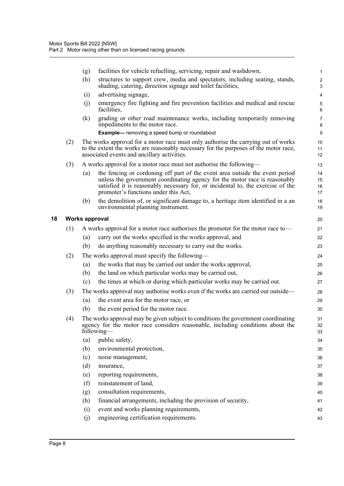|     | (g)                   | facilities for vehicle refuelling, servicing, repair and washdown,                                                                                                                                                                                                                    | $\mathbf{1}$         |
|-----|-----------------------|---------------------------------------------------------------------------------------------------------------------------------------------------------------------------------------------------------------------------------------------------------------------------------------|----------------------|
|     | (h)                   | structures to support crew, media and spectators, including seating, stands,<br>shading, catering, direction signage and toilet facilities,                                                                                                                                           | $\overline{2}$<br>3  |
|     | (i)                   | advertising signage,                                                                                                                                                                                                                                                                  | $\overline{4}$       |
|     | (j)                   | emergency fire fighting and fire prevention facilities and medical and rescue<br>facilities,                                                                                                                                                                                          | 5<br>6               |
|     | (k)                   | grading or other road maintenance works, including temporarily removing<br>impediments to the motor race.                                                                                                                                                                             | $\overline{7}$<br>8  |
|     |                       | <b>Example-</b> removing a speed bump or roundabout                                                                                                                                                                                                                                   | 9                    |
| (2) |                       | The works approval for a motor race must only authorise the carrying out of works<br>to the extent the works are reasonably necessary for the purposes of the motor race,<br>associated events and ancillary activities.                                                              | 10<br>11<br>12       |
| (3) |                       | A works approval for a motor race must not authorise the following—                                                                                                                                                                                                                   | 13                   |
|     | (a)                   | the fencing or cordoning off part of the event area outside the event period<br>unless the government coordinating agency for the motor race is reasonably<br>satisfied it is reasonably necessary for, or incidental to, the exercise of the<br>promoter's functions under this Act, | 14<br>15<br>16<br>17 |
|     | (b)                   | the demolition of, or significant damage to, a heritage item identified in a an<br>environmental planning instrument.                                                                                                                                                                 | 18<br>19             |
|     | <b>Works approval</b> |                                                                                                                                                                                                                                                                                       | 20                   |
| (1) |                       | A works approval for a motor race authorises the promoter for the motor race to—                                                                                                                                                                                                      | 21                   |
|     | (a)                   | carry out the works specified in the works approval, and                                                                                                                                                                                                                              | 22                   |
|     | (b)                   | do anything reasonably necessary to carry out the works.                                                                                                                                                                                                                              | 23                   |
| (2) |                       | The works approval must specify the following—                                                                                                                                                                                                                                        | 24                   |
|     | (a)                   | the works that may be carried out under the works approval,                                                                                                                                                                                                                           | 25                   |
|     | (b)                   | the land on which particular works may be carried out,                                                                                                                                                                                                                                | 26                   |
|     | (c)                   | the times at which or during which particular works may be carried out.                                                                                                                                                                                                               | 27                   |
| (3) |                       | The works approval may authorise works even if the works are carried out outside—                                                                                                                                                                                                     | 28                   |
|     | (a)                   | the event area for the motor race, or                                                                                                                                                                                                                                                 | 29                   |
|     | (b)                   | the event period for the motor race.                                                                                                                                                                                                                                                  | 30                   |
| (4) |                       | The works approval may be given subject to conditions the government coordinating<br>agency for the motor race considers reasonable, including conditions about the<br>following—                                                                                                     | 31<br>32<br>33       |
|     | (a)                   | public safety,                                                                                                                                                                                                                                                                        | 34                   |
|     | (b)                   | environmental protection,                                                                                                                                                                                                                                                             | 35                   |
|     | (c)                   | noise management,                                                                                                                                                                                                                                                                     | 36                   |
|     | (d)                   | insurance,                                                                                                                                                                                                                                                                            | 37                   |
|     | (e)                   | reporting requirements,                                                                                                                                                                                                                                                               | 38                   |
|     | (f)                   | reinstatement of land,                                                                                                                                                                                                                                                                | 39                   |
|     | (g)                   | consultation requirements,                                                                                                                                                                                                                                                            | 40                   |
|     | (h)                   | financial arrangements, including the provision of security,                                                                                                                                                                                                                          | 41                   |
|     | (i)                   | event and works planning requirements,                                                                                                                                                                                                                                                | 42                   |
|     | (j)                   | engineering certification requirements.                                                                                                                                                                                                                                               | 43                   |

<span id="page-18-0"></span>**18 Works approval**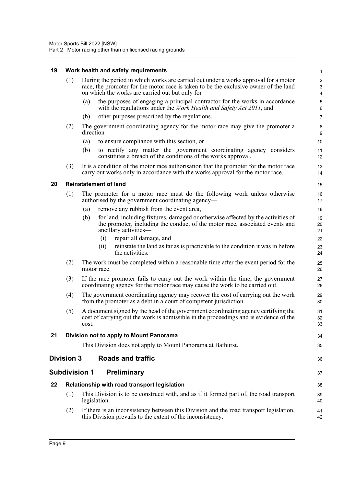#### **19 Work health and safety requirements**

<span id="page-19-5"></span><span id="page-19-4"></span><span id="page-19-3"></span><span id="page-19-2"></span><span id="page-19-1"></span><span id="page-19-0"></span>

| 19 |                   | Work health and safety requirements                                                                                                                                                                                             | $\mathbf{1}$                                     |
|----|-------------------|---------------------------------------------------------------------------------------------------------------------------------------------------------------------------------------------------------------------------------|--------------------------------------------------|
|    | (1)               | During the period in which works are carried out under a works approval for a motor<br>race, the promoter for the motor race is taken to be the exclusive owner of the land<br>on which the works are carried out but only for- | $\boldsymbol{2}$<br>3<br>$\overline{\mathbf{4}}$ |
|    |                   | the purposes of engaging a principal contractor for the works in accordance<br>(a)<br>with the regulations under the <i>Work Health and Safety Act 2011</i> , and                                                               | 5<br>6                                           |
|    |                   | other purposes prescribed by the regulations.<br>(b)                                                                                                                                                                            | $\overline{7}$                                   |
|    | (2)               | The government coordinating agency for the motor race may give the promoter a<br>direction-                                                                                                                                     | 8<br>9                                           |
|    |                   | to ensure compliance with this section, or<br>(a)                                                                                                                                                                               | 10                                               |
|    |                   | (b)<br>to rectify any matter the government coordinating agency considers<br>constitutes a breach of the conditions of the works approval.                                                                                      | 11<br>12                                         |
|    | (3)               | It is a condition of the motor race authorisation that the promoter for the motor race<br>carry out works only in accordance with the works approval for the motor race.                                                        | 13<br>14                                         |
| 20 |                   | <b>Reinstatement of land</b>                                                                                                                                                                                                    | 15                                               |
|    | (1)               | The promoter for a motor race must do the following work unless otherwise<br>authorised by the government coordinating agency—                                                                                                  | 16<br>17                                         |
|    |                   | remove any rubbish from the event area,<br>(a)                                                                                                                                                                                  | 18                                               |
|    |                   | (b)<br>for land, including fixtures, damaged or otherwise affected by the activities of<br>the promoter, including the conduct of the motor race, associated events and<br>ancillary activities-                                | 19<br>20<br>21                                   |
|    |                   | repair all damage, and<br>(i)                                                                                                                                                                                                   | 22                                               |
|    |                   | reinstate the land as far as is practicable to the condition it was in before<br>(i)<br>the activities.                                                                                                                         | 23<br>24                                         |
|    | (2)               | The work must be completed within a reasonable time after the event period for the<br>motor race.                                                                                                                               | 25<br>26                                         |
|    | (3)               | If the race promoter fails to carry out the work within the time, the government<br>coordinating agency for the motor race may cause the work to be carried out.                                                                | 27<br>28                                         |
|    | (4)               | The government coordinating agency may recover the cost of carrying out the work<br>from the promoter as a debt in a court of competent jurisdiction.                                                                           | 29<br>30                                         |
|    | (5)               | A document signed by the head of the government coordinating agency certifying the<br>cost of carrying out the work is admissible in the proceedings and is evidence of the<br>cost.                                            | 31<br>32<br>33                                   |
| 21 |                   | Division not to apply to Mount Panorama                                                                                                                                                                                         | 34                                               |
|    |                   | This Division does not apply to Mount Panorama at Bathurst.                                                                                                                                                                     | 35                                               |
|    | <b>Division 3</b> | <b>Roads and traffic</b>                                                                                                                                                                                                        | 36                                               |
|    |                   | <b>Subdivision 1</b><br>Preliminary                                                                                                                                                                                             | 37                                               |
| 22 |                   | Relationship with road transport legislation                                                                                                                                                                                    | 38                                               |
|    | (1)               | This Division is to be construed with, and as if it formed part of, the road transport<br>legislation.                                                                                                                          | 39<br>40                                         |
|    | (2)               | If there is an inconsistency between this Division and the road transport legislation,<br>this Division prevails to the extent of the inconsistency.                                                                            | 41<br>42                                         |
|    |                   |                                                                                                                                                                                                                                 |                                                  |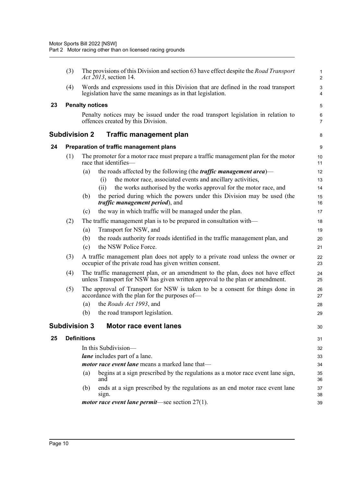<span id="page-20-4"></span><span id="page-20-3"></span><span id="page-20-2"></span><span id="page-20-1"></span><span id="page-20-0"></span>

|    | (3) |                        | The provisions of this Division and section 63 have effect despite the Road Transport<br><i>Act 2013</i> , section 14.                                          | $\mathbf{1}$<br>$\overline{c}$ |
|----|-----|------------------------|-----------------------------------------------------------------------------------------------------------------------------------------------------------------|--------------------------------|
|    | (4) |                        | Words and expressions used in this Division that are defined in the road transport<br>legislation have the same meanings as in that legislation.                | 3<br>4                         |
| 23 |     | <b>Penalty notices</b> |                                                                                                                                                                 | 5                              |
|    |     |                        | Penalty notices may be issued under the road transport legislation in relation to<br>offences created by this Division.                                         | 6<br>$\overline{7}$            |
|    |     | Subdivision 2          | Traffic management plan                                                                                                                                         | 8                              |
| 24 |     |                        | Preparation of traffic management plans                                                                                                                         | 9                              |
|    | (1) |                        | The promoter for a motor race must prepare a traffic management plan for the motor<br>race that identifies—                                                     | 10<br>11                       |
|    |     | (a)                    | the roads affected by the following (the <i>traffic management area</i> )—                                                                                      | 12                             |
|    |     |                        | the motor race, associated events and ancillary activities,<br>(i)                                                                                              | 13                             |
|    |     |                        | the works authorised by the works approval for the motor race, and<br>(ii)                                                                                      | 14                             |
|    |     | (b)                    | the period during which the powers under this Division may be used (the<br><i>traffic management period</i> ), and                                              | 15<br>16                       |
|    |     | (c)                    | the way in which traffic will be managed under the plan.                                                                                                        | 17                             |
|    | (2) |                        | The traffic management plan is to be prepared in consultation with—                                                                                             | 18                             |
|    |     | (a)                    | Transport for NSW, and                                                                                                                                          | 19                             |
|    |     | (b)                    | the roads authority for roads identified in the traffic management plan, and                                                                                    | 20                             |
|    |     | (c)                    | the NSW Police Force.                                                                                                                                           | 21                             |
|    | (3) |                        | A traffic management plan does not apply to a private road unless the owner or<br>occupier of the private road has given written consent.                       | 22<br>23                       |
|    | (4) |                        | The traffic management plan, or an amendment to the plan, does not have effect<br>unless Transport for NSW has given written approval to the plan or amendment. | 24<br>25                       |
|    | (5) |                        | The approval of Transport for NSW is taken to be a consent for things done in<br>accordance with the plan for the purposes of—                                  | 26<br>27                       |
|    |     | (a)                    | the Roads Act 1993, and                                                                                                                                         | 28                             |
|    |     | (b)                    | the road transport legislation.                                                                                                                                 | 29                             |
|    |     |                        | Subdivision 3   Motor race event lanes                                                                                                                          | 30                             |
| 25 |     | <b>Definitions</b>     |                                                                                                                                                                 | 31                             |
|    |     |                        | In this Subdivision-                                                                                                                                            | 32                             |
|    |     |                        | lane includes part of a lane.                                                                                                                                   | 33                             |
|    |     |                        | motor race event lane means a marked lane that-                                                                                                                 | 34                             |
|    |     | (a)                    | begins at a sign prescribed by the regulations as a motor race event lane sign,<br>and                                                                          | 35<br>36                       |
|    |     | (b)                    | ends at a sign prescribed by the regulations as an end motor race event lane<br>sign.                                                                           | 37<br>38                       |
|    |     |                        | <i>motor race event lane permit</i> —see section $27(1)$ .                                                                                                      | 39                             |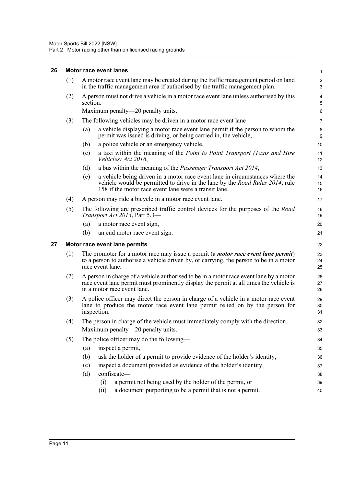#### <span id="page-21-0"></span>**26 Motor race event lanes**

<span id="page-21-1"></span>

|    | (1) | A motor race event lane may be created during the traffic management period on land<br>in the traffic management area if authorised by the traffic management plan.                                                                 | $\overline{\mathbf{c}}$<br>3 |
|----|-----|-------------------------------------------------------------------------------------------------------------------------------------------------------------------------------------------------------------------------------------|------------------------------|
|    | (2) | A person must not drive a vehicle in a motor race event lane unless authorised by this<br>section.                                                                                                                                  | 4<br>5                       |
|    |     | Maximum penalty—20 penalty units.                                                                                                                                                                                                   | 6                            |
|    | (3) | The following vehicles may be driven in a motor race event lane—                                                                                                                                                                    | 7                            |
|    |     | a vehicle displaying a motor race event lane permit if the person to whom the<br>(a)<br>permit was issued is driving, or being carried in, the vehicle,                                                                             | 8<br>9                       |
|    |     | (b)<br>a police vehicle or an emergency vehicle,                                                                                                                                                                                    | 10                           |
|    |     | a taxi within the meaning of the Point to Point Transport (Taxis and Hire<br>(c)<br>Vehicles) Act 2016,                                                                                                                             | 11<br>12                     |
|    |     | a bus within the meaning of the <i>Passenger Transport Act 2014</i> ,<br>(d)                                                                                                                                                        | 13                           |
|    |     | (e)<br>a vehicle being driven in a motor race event lane in circumstances where the<br>vehicle would be permitted to drive in the lane by the <i>Road Rules</i> 2014, rule<br>158 if the motor race event lane were a transit lane. | 14<br>15<br>16               |
|    | (4) | A person may ride a bicycle in a motor race event lane.                                                                                                                                                                             | 17                           |
|    | (5) | The following are prescribed traffic control devices for the purposes of the <i>Road</i><br>Transport Act 2013, Part 5.3-                                                                                                           | 18<br>19                     |
|    |     | (a)<br>a motor race event sign,                                                                                                                                                                                                     | 20                           |
|    |     | (b)<br>an end motor race event sign.                                                                                                                                                                                                | 21                           |
| 27 |     | Motor race event lane permits                                                                                                                                                                                                       | 22                           |
|    | (1) | The promoter for a motor race may issue a permit (a <i>motor race event lane permit</i> )<br>to a person to authorise a vehicle driven by, or carrying, the person to be in a motor<br>race event lane.                             | 23<br>24<br>25               |
|    | (2) | A person in charge of a vehicle authorised to be in a motor race event lane by a motor<br>race event lane permit must prominently display the permit at all times the vehicle is<br>in a motor race event lane.                     | 26<br>27<br>28               |
|    | (3) | A police officer may direct the person in charge of a vehicle in a motor race event<br>lane to produce the motor race event lane permit relied on by the person for<br>inspection.                                                  | 29<br>30<br>31               |
|    | (4) | The person in charge of the vehicle must immediately comply with the direction.<br>Maximum penalty—20 penalty units.                                                                                                                | 32<br>33                     |
|    | (5) | The police officer may do the following—                                                                                                                                                                                            | 34                           |
|    |     | inspect a permit,<br>(a)                                                                                                                                                                                                            | 35                           |
|    |     | (b)<br>ask the holder of a permit to provide evidence of the holder's identity,                                                                                                                                                     | 36                           |
|    |     | inspect a document provided as evidence of the holder's identity,<br>(c)                                                                                                                                                            | 37                           |
|    |     | confiscate-<br>(d)                                                                                                                                                                                                                  | 38                           |
|    |     | a permit not being used by the holder of the permit, or<br>(i)                                                                                                                                                                      | 39                           |
|    |     | a document purporting to be a permit that is not a permit.<br>(ii)                                                                                                                                                                  | 40                           |

1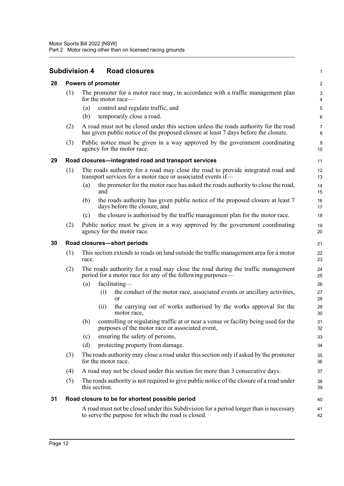<span id="page-22-4"></span><span id="page-22-3"></span><span id="page-22-2"></span><span id="page-22-1"></span><span id="page-22-0"></span>

|    |                                                      | <b>Subdivision 4</b><br><b>Road closures</b>                                                                                                                                | 1                       |  |  |  |  |  |  |
|----|------------------------------------------------------|-----------------------------------------------------------------------------------------------------------------------------------------------------------------------------|-------------------------|--|--|--|--|--|--|
| 28 |                                                      | <b>Powers of promoter</b>                                                                                                                                                   | $\overline{\mathbf{c}}$ |  |  |  |  |  |  |
|    | (1)                                                  | The promoter for a motor race may, in accordance with a traffic management plan<br>for the motor race—                                                                      | 3<br>4                  |  |  |  |  |  |  |
|    |                                                      | control and regulate traffic, and<br>(a)                                                                                                                                    | 5                       |  |  |  |  |  |  |
|    |                                                      | temporarily close a road.<br>(b)                                                                                                                                            | 6                       |  |  |  |  |  |  |
|    | (2)                                                  | A road must not be closed under this section unless the roads authority for the road<br>has given public notice of the proposed closure at least 7 days before the closure. | 7<br>8                  |  |  |  |  |  |  |
|    | (3)                                                  | Public notice must be given in a way approved by the government coordinating<br>agency for the motor race.                                                                  | 9<br>10                 |  |  |  |  |  |  |
| 29 | Road closures-integrated road and transport services |                                                                                                                                                                             |                         |  |  |  |  |  |  |
|    | (1)                                                  | The roads authority for a road may close the road to provide integrated road and<br>transport services for a motor race or associated events if—                            | 12<br>13                |  |  |  |  |  |  |
|    |                                                      | the promoter for the motor race has asked the roads authority to close the road,<br>(a)<br>and                                                                              | 14<br>15                |  |  |  |  |  |  |
|    |                                                      | the roads authority has given public notice of the proposed closure at least 7<br>(b)<br>days before the closure, and                                                       | 16<br>17                |  |  |  |  |  |  |
|    |                                                      | the closure is authorised by the traffic management plan for the motor race.<br>(c)                                                                                         | 18                      |  |  |  |  |  |  |
|    | (2)                                                  | Public notice must be given in a way approved by the government coordinating<br>agency for the motor race.                                                                  | 19<br>20                |  |  |  |  |  |  |
| 30 |                                                      | Road closures-short periods                                                                                                                                                 | 21                      |  |  |  |  |  |  |
|    | (1)                                                  | This section extends to roads on land outside the traffic management area for a motor<br>race.                                                                              | 22<br>23                |  |  |  |  |  |  |
|    | (2)                                                  | The roads authority for a road may close the road during the traffic management<br>period for a motor race for any of the following purposes—                               | 24<br>25                |  |  |  |  |  |  |
|    |                                                      | facilitating-<br>(a)                                                                                                                                                        | 26                      |  |  |  |  |  |  |
|    |                                                      | the conduct of the motor race, associated events or ancillary activities,<br>(i)<br>or                                                                                      | 27<br>28                |  |  |  |  |  |  |
|    |                                                      | the carrying out of works authorised by the works approval for the<br>(ii)<br>motor race,                                                                                   | 29<br>30                |  |  |  |  |  |  |
|    |                                                      | controlling or regulating traffic at or near a venue or facility being used for the<br>(b)<br>purposes of the motor race or associated event,                               | 31<br>32                |  |  |  |  |  |  |
|    |                                                      | ensuring the safety of persons,<br>(c)                                                                                                                                      | 33                      |  |  |  |  |  |  |
|    |                                                      | protecting property from damage.<br>(d)                                                                                                                                     | 34                      |  |  |  |  |  |  |
|    | (3)                                                  | The roads authority may close a road under this section only if asked by the promoter<br>for the motor race.                                                                | 35<br>36                |  |  |  |  |  |  |
|    | (4)                                                  | A road may not be closed under this section for more than 3 consecutive days.                                                                                               | 37                      |  |  |  |  |  |  |
|    | (5)                                                  | The roads authority is not required to give public notice of the closure of a road under<br>this section.                                                                   | 38<br>39                |  |  |  |  |  |  |
| 31 |                                                      | Road closure to be for shortest possible period                                                                                                                             | 40                      |  |  |  |  |  |  |
|    |                                                      | A road must not be closed under this Subdivision for a period longer than is necessary<br>to serve the purpose for which the road is closed.                                | 41<br>42                |  |  |  |  |  |  |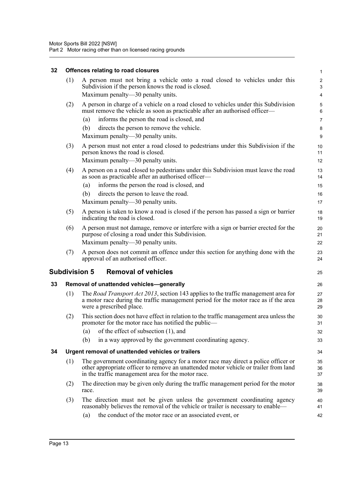#### **32 Offences relating to road closures**

<span id="page-23-3"></span><span id="page-23-2"></span><span id="page-23-1"></span><span id="page-23-0"></span>

| 32 |     | Offences relating to road closures                                                                                                                                                                                               | $\mathbf{1}$   |
|----|-----|----------------------------------------------------------------------------------------------------------------------------------------------------------------------------------------------------------------------------------|----------------|
|    | (1) | A person must not bring a vehicle onto a road closed to vehicles under this<br>Subdivision if the person knows the road is closed.<br>Maximum penalty—30 penalty units.                                                          | 2<br>3<br>4    |
|    |     |                                                                                                                                                                                                                                  |                |
|    | (2) | A person in charge of a vehicle on a road closed to vehicles under this Subdivision<br>must remove the vehicle as soon as practicable after an authorised officer-                                                               | 5<br>6         |
|    |     | informs the person the road is closed, and<br>(a)                                                                                                                                                                                | 7              |
|    |     | (b)<br>directs the person to remove the vehicle.                                                                                                                                                                                 | 8              |
|    |     | Maximum penalty—30 penalty units.                                                                                                                                                                                                | 9              |
|    | (3) | A person must not enter a road closed to pedestrians under this Subdivision if the<br>person knows the road is closed.<br>Maximum penalty-30 penalty units.                                                                      | 10<br>11<br>12 |
|    | (4) | A person on a road closed to pedestrians under this Subdivision must leave the road                                                                                                                                              | 13             |
|    |     | as soon as practicable after an authorised officer—                                                                                                                                                                              | 14             |
|    |     | informs the person the road is closed, and<br>(a)                                                                                                                                                                                | 15             |
|    |     | directs the person to leave the road.<br>(b)                                                                                                                                                                                     | 16             |
|    |     | Maximum penalty—30 penalty units.                                                                                                                                                                                                | 17             |
|    | (5) | A person is taken to know a road is closed if the person has passed a sign or barrier<br>indicating the road is closed.                                                                                                          | 18<br>19       |
|    | (6) | A person must not damage, remove or interfere with a sign or barrier erected for the<br>purpose of closing a road under this Subdivision.                                                                                        | 20<br>21       |
|    |     | Maximum penalty—30 penalty units.                                                                                                                                                                                                | 22             |
|    | (7) | A person does not commit an offence under this section for anything done with the<br>approval of an authorised officer.                                                                                                          | 23<br>24       |
|    |     | <b>Removal of vehicles</b><br><b>Subdivision 5</b>                                                                                                                                                                               | 25             |
| 33 |     | Removal of unattended vehicles-generally                                                                                                                                                                                         | 26             |
|    | (1) | The Road Transport Act 2013, section 143 applies to the traffic management area for<br>a motor race during the traffic management period for the motor race as if the area<br>were a prescribed place.                           | 27<br>28<br>29 |
|    | (2) | This section does not have effect in relation to the traffic management area unless the<br>promoter for the motor race has notified the public—                                                                                  | 30<br>31       |
|    |     | of the effect of subsection (1), and<br>(a)                                                                                                                                                                                      | 32             |
|    |     | (b)<br>in a way approved by the government coordinating agency.                                                                                                                                                                  | 33             |
| 34 |     | Urgent removal of unattended vehicles or trailers                                                                                                                                                                                | 34             |
|    | (1) | The government coordinating agency for a motor race may direct a police officer or<br>other appropriate officer to remove an unattended motor vehicle or trailer from land<br>in the traffic management area for the motor race. | 35<br>36<br>37 |
|    | (2) | The direction may be given only during the traffic management period for the motor<br>race.                                                                                                                                      | 38<br>39       |
|    | (3) | The direction must not be given unless the government coordinating agency<br>reasonably believes the removal of the vehicle or trailer is necessary to enable—                                                                   | 40<br>41       |
|    |     |                                                                                                                                                                                                                                  |                |
|    |     | the conduct of the motor race or an associated event, or<br>(a)                                                                                                                                                                  | 42             |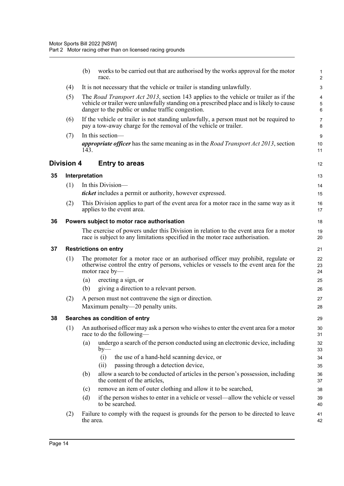<span id="page-24-4"></span><span id="page-24-3"></span><span id="page-24-2"></span><span id="page-24-1"></span><span id="page-24-0"></span>

|    |                   | (b)            | works to be carried out that are authorised by the works approval for the motor<br>race.                                                                                                                                                      | 1<br>$\overline{2}$ |
|----|-------------------|----------------|-----------------------------------------------------------------------------------------------------------------------------------------------------------------------------------------------------------------------------------------------|---------------------|
|    | (4)               |                | It is not necessary that the vehicle or trailer is standing unlawfully.                                                                                                                                                                       | 3                   |
|    | (5)               |                | The <i>Road Transport Act 2013</i> , section 143 applies to the vehicle or trailer as if the<br>vehicle or trailer were unlawfully standing on a prescribed place and is likely to cause<br>danger to the public or undue traffic congestion. | 4<br>5<br>6         |
|    | (6)               |                | If the vehicle or trailer is not standing unlawfully, a person must not be required to<br>pay a tow-away charge for the removal of the vehicle or trailer.                                                                                    | $\overline{7}$<br>8 |
|    | (7)               | 143.           | In this section-<br><i>appropriate officer</i> has the same meaning as in the <i>Road Transport Act 2013</i> , section                                                                                                                        | 9<br>10<br>11       |
|    | <b>Division 4</b> |                | <b>Entry to areas</b>                                                                                                                                                                                                                         | 12                  |
| 35 |                   | Interpretation |                                                                                                                                                                                                                                               | 13                  |
|    | (1)               |                | In this Division-                                                                                                                                                                                                                             | 14                  |
|    |                   |                | <i>ticket</i> includes a permit or authority, however expressed.                                                                                                                                                                              | 15                  |
|    | (2)               |                | This Division applies to part of the event area for a motor race in the same way as it<br>applies to the event area.                                                                                                                          | 16<br>17            |
| 36 |                   |                | Powers subject to motor race authorisation                                                                                                                                                                                                    | 18                  |
|    |                   |                | The exercise of powers under this Division in relation to the event area for a motor<br>race is subject to any limitations specified in the motor race authorisation.                                                                         | 19<br>20            |
| 37 |                   |                | <b>Restrictions on entry</b>                                                                                                                                                                                                                  | 21                  |
|    | (1)               |                | The promoter for a motor race or an authorised officer may prohibit, regulate or<br>otherwise control the entry of persons, vehicles or vessels to the event area for the<br>motor race by-                                                   | 22<br>23<br>24      |
|    |                   | (a)            | erecting a sign, or                                                                                                                                                                                                                           | 25                  |
|    |                   | (b)            | giving a direction to a relevant person.                                                                                                                                                                                                      | 26                  |
|    | (2)               |                | A person must not contravene the sign or direction.                                                                                                                                                                                           | 27                  |
|    |                   |                | Maximum penalty—20 penalty units.                                                                                                                                                                                                             | 28                  |
| 38 |                   |                | Searches as condition of entry                                                                                                                                                                                                                | 29                  |
|    | (1)               |                | An authorised officer may ask a person who wishes to enter the event area for a motor<br>race to do the following-                                                                                                                            | 30<br>31            |
|    |                   | (a)            | undergo a search of the person conducted using an electronic device, including<br>$by-$                                                                                                                                                       | 32<br>33            |
|    |                   |                | the use of a hand-held scanning device, or<br>(i)                                                                                                                                                                                             | 34                  |
|    |                   |                | passing through a detection device,<br>(ii)                                                                                                                                                                                                   | 35                  |
|    |                   | (b)            | allow a search to be conducted of articles in the person's possession, including<br>the content of the articles,                                                                                                                              | 36<br>37            |
|    |                   | (c)            | remove an item of outer clothing and allow it to be searched,                                                                                                                                                                                 | 38                  |
|    |                   | (d)            | if the person wishes to enter in a vehicle or vessel—allow the vehicle or vessel<br>to be searched.                                                                                                                                           | 39<br>40            |
|    | (2)               | the area.      | Failure to comply with the request is grounds for the person to be directed to leave                                                                                                                                                          | 41<br>42            |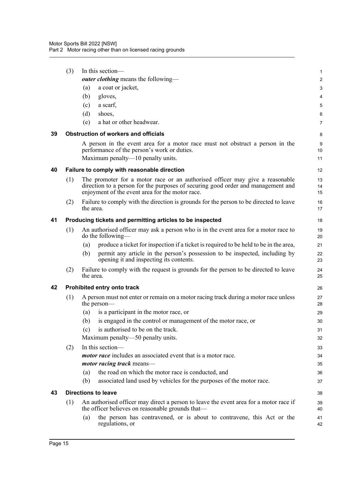<span id="page-25-4"></span><span id="page-25-3"></span><span id="page-25-2"></span><span id="page-25-1"></span><span id="page-25-0"></span>

|    | (3) |           | In this section-                                                                                                                                                                                                    | 1              |
|----|-----|-----------|---------------------------------------------------------------------------------------------------------------------------------------------------------------------------------------------------------------------|----------------|
|    |     |           | <i>outer clothing</i> means the following—                                                                                                                                                                          | $\overline{2}$ |
|    |     | (a)       | a coat or jacket,                                                                                                                                                                                                   | 3              |
|    |     | (b)       | gloves,                                                                                                                                                                                                             | 4              |
|    |     | (c)       | a scarf,                                                                                                                                                                                                            | 5              |
|    |     | (d)       | shoes,                                                                                                                                                                                                              | 6              |
|    |     | (e)       | a hat or other headwear.                                                                                                                                                                                            | $\overline{7}$ |
| 39 |     |           | <b>Obstruction of workers and officials</b>                                                                                                                                                                         | 8              |
|    |     |           | A person in the event area for a motor race must not obstruct a person in the<br>performance of the person's work or duties.<br>Maximum penalty—10 penalty units.                                                   | 9<br>10<br>11  |
| 40 |     |           | Failure to comply with reasonable direction                                                                                                                                                                         | 12             |
|    | (1) |           | The promoter for a motor race or an authorised officer may give a reasonable<br>direction to a person for the purposes of securing good order and management and<br>enjoyment of the event area for the motor race. | 13<br>14<br>15 |
|    | (2) | the area. | Failure to comply with the direction is grounds for the person to be directed to leave                                                                                                                              | 16<br>17       |
| 41 |     |           | Producing tickets and permitting articles to be inspected                                                                                                                                                           | 18             |
|    | (1) |           | An authorised officer may ask a person who is in the event area for a motor race to<br>do the following—                                                                                                            | 19<br>20       |
|    |     | (a)       | produce a ticket for inspection if a ticket is required to be held to be in the area,                                                                                                                               | 21             |
|    |     | (b)       | permit any article in the person's possession to be inspected, including by<br>opening it and inspecting its contents.                                                                                              | 22<br>23       |
|    | (2) | the area. | Failure to comply with the request is grounds for the person to be directed to leave                                                                                                                                | 24<br>25       |
| 42 |     |           | Prohibited entry onto track                                                                                                                                                                                         | 26             |
|    | (1) |           | A person must not enter or remain on a motor racing track during a motor race unless<br>the person—                                                                                                                 | 27<br>28       |
|    |     | (a)       | is a participant in the motor race, or                                                                                                                                                                              | 29             |
|    |     | (b)       | is engaged in the control or management of the motor race, or                                                                                                                                                       | 30             |
|    |     | (c)       | is authorised to be on the track.                                                                                                                                                                                   | 31             |
|    |     |           | Maximum penalty—50 penalty units.                                                                                                                                                                                   | 32             |
|    | (2) |           | In this section-                                                                                                                                                                                                    | 33             |
|    |     |           | <i>motor race</i> includes an associated event that is a motor race.                                                                                                                                                | 34             |
|    |     |           | <i>motor racing track</i> means—                                                                                                                                                                                    | 35             |
|    |     | (a)       | the road on which the motor race is conducted, and                                                                                                                                                                  | 36             |
|    |     | (b)       | associated land used by vehicles for the purposes of the motor race.                                                                                                                                                | 37             |
| 43 |     |           | <b>Directions to leave</b>                                                                                                                                                                                          | 38             |
|    | (1) |           | An authorised officer may direct a person to leave the event area for a motor race if<br>the officer believes on reasonable grounds that—                                                                           | 39<br>40       |
|    |     | (a)       | the person has contravened, or is about to contravene, this Act or the<br>regulations, or                                                                                                                           | 41<br>42       |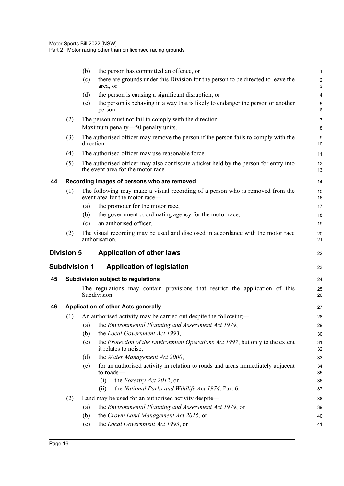<span id="page-26-4"></span><span id="page-26-3"></span><span id="page-26-2"></span><span id="page-26-1"></span><span id="page-26-0"></span>

|    |                      | the person has committed an offence, or<br>(b)                                                                              | 1                            |
|----|----------------------|-----------------------------------------------------------------------------------------------------------------------------|------------------------------|
|    |                      | there are grounds under this Division for the person to be directed to leave the<br>(c)<br>area, or                         | $\overline{\mathbf{c}}$<br>3 |
|    |                      | the person is causing a significant disruption, or<br>(d)                                                                   | 4                            |
|    |                      | the person is behaving in a way that is likely to endanger the person or another<br>(e)<br>person.                          | 5<br>6                       |
|    | (2)                  | The person must not fail to comply with the direction.                                                                      | 7                            |
|    |                      | Maximum penalty-50 penalty units.                                                                                           | 8                            |
|    | (3)                  | The authorised officer may remove the person if the person fails to comply with the<br>direction.                           | 9<br>10                      |
|    | (4)                  | The authorised officer may use reasonable force.                                                                            | 11                           |
|    | (5)                  | The authorised officer may also confiscate a ticket held by the person for entry into<br>the event area for the motor race. | 12<br>13                     |
| 44 |                      | Recording images of persons who are removed                                                                                 | 14                           |
|    | (1)                  | The following may make a visual recording of a person who is removed from the<br>event area for the motor race—             | 15<br>16                     |
|    |                      | the promoter for the motor race,<br>(a)                                                                                     | 17                           |
|    |                      | the government coordinating agency for the motor race,<br>(b)                                                               | 18                           |
|    |                      | an authorised officer.<br>(c)                                                                                               | 19                           |
|    | (2)                  | The visual recording may be used and disclosed in accordance with the motor race<br>authorisation.                          | 20<br>21                     |
|    |                      |                                                                                                                             |                              |
|    | <b>Division 5</b>    | <b>Application of other laws</b>                                                                                            | 22                           |
|    | <b>Subdivision 1</b> | <b>Application of legislation</b>                                                                                           | 23                           |
| 45 |                      | Subdivision subject to regulations                                                                                          | 24                           |
|    |                      | The regulations may contain provisions that restrict the application of this<br>Subdivision.                                | 25<br>26                     |
| 46 |                      | <b>Application of other Acts generally</b>                                                                                  | 27                           |
|    | (1)                  | An authorised activity may be carried out despite the following—                                                            | 28                           |
|    |                      | (a) the Environmental Planning and Assessment Act 1979,                                                                     | 29                           |
|    |                      | the Local Government Act 1993,<br>(b)                                                                                       | 30                           |
|    |                      | the Protection of the Environment Operations Act 1997, but only to the extent<br>(c)<br>it relates to noise,                | 31<br>32                     |
|    |                      | the Water Management Act 2000,<br>(d)                                                                                       | 33                           |
|    |                      | for an authorised activity in relation to roads and areas immediately adjacent<br>(e)<br>to roads—                          | 34<br>35                     |
|    |                      | the Forestry Act 2012, or<br>(i)                                                                                            | 36                           |
|    |                      | the National Parks and Wildlife Act 1974, Part 6.<br>(ii)                                                                   | 37                           |
|    | (2)                  | Land may be used for an authorised activity despite-                                                                        | 38                           |
|    |                      | the Environmental Planning and Assessment Act 1979, or<br>(a)                                                               | 39                           |
|    |                      | the Crown Land Management Act 2016, or<br>(b)<br>the Local Government Act 1993, or<br>(c)                                   | 40<br>41                     |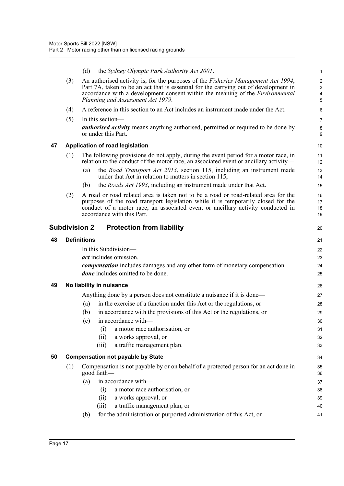<span id="page-27-4"></span><span id="page-27-3"></span><span id="page-27-2"></span><span id="page-27-1"></span><span id="page-27-0"></span>

|    |     | the Sydney Olympic Park Authority Act 2001.<br>(d)                                                                                                                                                                                                                                                             | $\mathbf{1}$                             |
|----|-----|----------------------------------------------------------------------------------------------------------------------------------------------------------------------------------------------------------------------------------------------------------------------------------------------------------------|------------------------------------------|
|    | (3) | An authorised activity is, for the purposes of the <i>Fisheries Management Act 1994</i> ,<br>Part 7A, taken to be an act that is essential for the carrying out of development in<br>accordance with a development consent within the meaning of the <i>Environmental</i><br>Planning and Assessment Act 1979. | $\overline{c}$<br>$\mathbf{3}$<br>4<br>5 |
|    | (4) | A reference in this section to an Act includes an instrument made under the Act.                                                                                                                                                                                                                               | 6                                        |
|    | (5) | In this section—<br><i>authorised activity</i> means anything authorised, permitted or required to be done by<br>or under this Part.                                                                                                                                                                           | $\overline{7}$<br>8<br>9                 |
| 47 |     | Application of road legislation                                                                                                                                                                                                                                                                                | 10                                       |
|    | (1) | The following provisions do not apply, during the event period for a motor race, in<br>relation to the conduct of the motor race, an associated event or ancillary activity—                                                                                                                                   | 11<br>12                                 |
|    |     | the Road Transport Act 2013, section 115, including an instrument made<br>(a)<br>under that Act in relation to matters in section 115,                                                                                                                                                                         | 13<br>14                                 |
|    |     | the <i>Roads Act 1993</i> , including an instrument made under that Act.<br>(b)                                                                                                                                                                                                                                | 15                                       |
|    | (2) | A road or road related area is taken not to be a road or road-related area for the<br>purposes of the road transport legislation while it is temporarily closed for the<br>conduct of a motor race, an associated event or ancillary activity conducted in<br>accordance with this Part.                       | 16<br>17<br>18<br>19                     |
|    |     | <b>Subdivision 2</b><br><b>Protection from liability</b>                                                                                                                                                                                                                                                       | 20                                       |
| 48 |     | <b>Definitions</b>                                                                                                                                                                                                                                                                                             | 21                                       |
|    |     | In this Subdivision-                                                                                                                                                                                                                                                                                           | 22                                       |
|    |     | <i>act</i> includes omission.                                                                                                                                                                                                                                                                                  | 23                                       |
|    |     | <i>compensation</i> includes damages and any other form of monetary compensation.<br><i>done</i> includes omitted to be done.                                                                                                                                                                                  | 24<br>25                                 |
| 49 |     | No liability in nuisance                                                                                                                                                                                                                                                                                       | 26                                       |
|    |     | Anything done by a person does not constitute a nuisance if it is done—                                                                                                                                                                                                                                        | 27                                       |
|    |     | in the exercise of a function under this Act or the regulations, or<br>(a)                                                                                                                                                                                                                                     | 28                                       |
|    |     | in accordance with the provisions of this Act or the regulations, or<br>(b)                                                                                                                                                                                                                                    | 29                                       |
|    |     | (c)<br>in accordance with—                                                                                                                                                                                                                                                                                     | 30                                       |
|    |     | a motor race authorisation, or<br>(i)                                                                                                                                                                                                                                                                          | 31                                       |
|    |     | a works approval, or<br>(ii)                                                                                                                                                                                                                                                                                   | 32                                       |
|    |     | a traffic management plan.<br>(iii)                                                                                                                                                                                                                                                                            | 33                                       |
| 50 |     | <b>Compensation not payable by State</b>                                                                                                                                                                                                                                                                       | 34                                       |
|    | (1) | Compensation is not payable by or on behalf of a protected person for an act done in<br>good faith-                                                                                                                                                                                                            | 35<br>36                                 |
|    |     | in accordance with-<br>(a)                                                                                                                                                                                                                                                                                     | 37                                       |
|    |     | a motor race authorisation, or<br>(i)                                                                                                                                                                                                                                                                          | 38                                       |
|    |     | a works approval, or<br>(ii)                                                                                                                                                                                                                                                                                   | 39                                       |
|    |     | a traffic management plan, or<br>(iii)                                                                                                                                                                                                                                                                         | 40                                       |
|    |     | for the administration or purported administration of this Act, or<br>(b)                                                                                                                                                                                                                                      | 41                                       |
|    |     |                                                                                                                                                                                                                                                                                                                |                                          |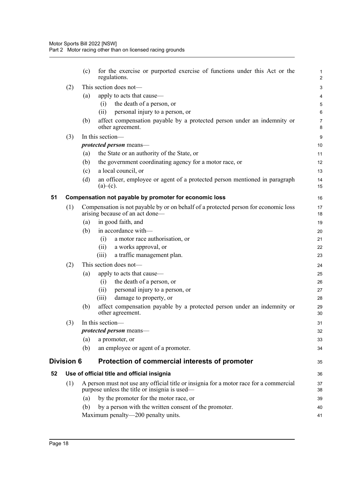<span id="page-28-2"></span><span id="page-28-1"></span><span id="page-28-0"></span>

|    |                   | (c) | for the exercise or purported exercise of functions under this Act or the<br>regulations.                                               | 1<br>$\overline{c}$ |
|----|-------------------|-----|-----------------------------------------------------------------------------------------------------------------------------------------|---------------------|
|    | (2)               |     | This section does not-                                                                                                                  | 3                   |
|    |                   | (a) | apply to acts that cause—                                                                                                               | 4                   |
|    |                   |     | the death of a person, or<br>(i)                                                                                                        | 5                   |
|    |                   |     | personal injury to a person, or<br>(ii)                                                                                                 | 6                   |
|    |                   | (b) | affect compensation payable by a protected person under an indemnity or<br>other agreement.                                             | $\overline{7}$<br>8 |
|    | (3)               |     | In this section-                                                                                                                        | 9                   |
|    |                   |     | protected person means-                                                                                                                 | 10                  |
|    |                   | (a) | the State or an authority of the State, or                                                                                              | 11                  |
|    |                   | (b) | the government coordinating agency for a motor race, or                                                                                 | 12                  |
|    |                   | (c) | a local council, or                                                                                                                     | 13                  |
|    |                   | (d) | an officer, employee or agent of a protected person mentioned in paragraph<br>$(a)$ – $(c)$ .                                           | 14<br>15            |
| 51 |                   |     | Compensation not payable by promoter for economic loss                                                                                  | 16                  |
|    | (1)               |     | Compensation is not payable by or on behalf of a protected person for economic loss<br>arising because of an act done—                  | 17<br>18            |
|    |                   | (a) | in good faith, and                                                                                                                      | 19                  |
|    |                   | (b) | in accordance with-                                                                                                                     | 20                  |
|    |                   |     | a motor race authorisation, or<br>(i)                                                                                                   | 21                  |
|    |                   |     | a works approval, or<br>(ii)                                                                                                            | 22                  |
|    |                   |     | a traffic management plan.<br>(iii)                                                                                                     | 23                  |
|    | (2)               |     | This section does not-                                                                                                                  | 24                  |
|    |                   | (a) | apply to acts that cause—                                                                                                               | 25                  |
|    |                   |     | the death of a person, or<br>(i)                                                                                                        | 26                  |
|    |                   |     | personal injury to a person, or<br>(ii)                                                                                                 | 27                  |
|    |                   |     | damage to property, or<br>(iii)                                                                                                         | 28                  |
|    |                   | (b) | affect compensation payable by a protected person under an indemnity or<br>other agreement.                                             | 29<br>30            |
|    | (3)               |     | In this section-                                                                                                                        | 31                  |
|    |                   |     | <i>protected person</i> means—                                                                                                          | 32                  |
|    |                   | (a) | a promoter, or                                                                                                                          | 33                  |
|    |                   | (b) | an employee or agent of a promoter.                                                                                                     | 34                  |
|    | <b>Division 6</b> |     | Protection of commercial interests of promoter                                                                                          | 35                  |
| 52 |                   |     | Use of official title and official insignia                                                                                             | 36                  |
|    | (1)               |     | A person must not use any official title or insignia for a motor race for a commercial<br>purpose unless the title or insignia is used— | 37<br>38            |
|    |                   | (a) | by the promoter for the motor race, or                                                                                                  | 39                  |
|    |                   | (b) | by a person with the written consent of the promoter.                                                                                   | 40                  |
|    |                   |     | Maximum penalty-200 penalty units.                                                                                                      | 41                  |
|    |                   |     |                                                                                                                                         |                     |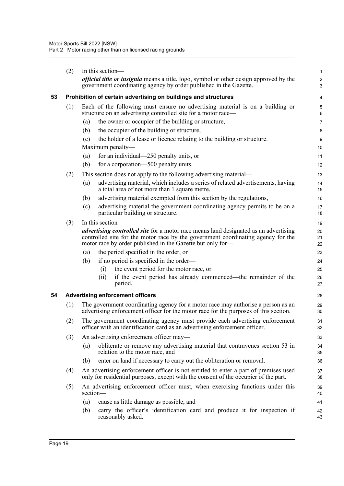<span id="page-29-1"></span><span id="page-29-0"></span>

|    | (2) | In this section-                                                                                                                                                                                                                              | $\mathbf{1}$        |
|----|-----|-----------------------------------------------------------------------------------------------------------------------------------------------------------------------------------------------------------------------------------------------|---------------------|
|    |     | official title or insignia means a title, logo, symbol or other design approved by the<br>government coordinating agency by order published in the Gazette.                                                                                   | $\overline{2}$<br>3 |
| 53 |     | Prohibition of certain advertising on buildings and structures                                                                                                                                                                                | 4                   |
|    | (1) | Each of the following must ensure no advertising material is on a building or<br>structure on an advertising controlled site for a motor race—                                                                                                | 5<br>6              |
|    |     | the owner or occupier of the building or structure,<br>(a)                                                                                                                                                                                    | 7                   |
|    |     | the occupier of the building or structure,<br>(b)                                                                                                                                                                                             | 8                   |
|    |     | the holder of a lease or licence relating to the building or structure.<br>(c)                                                                                                                                                                | 9                   |
|    |     | Maximum penalty—                                                                                                                                                                                                                              | 10                  |
|    |     | for an individual—250 penalty units, or<br>(a)                                                                                                                                                                                                | 11                  |
|    |     | (b)<br>for a corporation—500 penalty units.                                                                                                                                                                                                   | 12                  |
|    | (2) | This section does not apply to the following advertising material—                                                                                                                                                                            | 13                  |
|    |     | advertising material, which includes a series of related advertisements, having<br>(a)<br>a total area of not more than 1 square metre,                                                                                                       | 14<br>15            |
|    |     | advertising material exempted from this section by the regulations,<br>(b)                                                                                                                                                                    | 16                  |
|    |     | advertising material the government coordinating agency permits to be on a<br>(c)<br>particular building or structure.                                                                                                                        | 17<br>18            |
|    | (3) | In this section—                                                                                                                                                                                                                              | 19                  |
|    |     | <i>advertising controlled site</i> for a motor race means land designated as an advertising<br>controlled site for the motor race by the government coordinating agency for the<br>motor race by order published in the Gazette but only for- | 20<br>21<br>22      |
|    |     | the period specified in the order, or<br>(a)                                                                                                                                                                                                  | 23                  |
|    |     | if no period is specified in the order—<br>(b)                                                                                                                                                                                                | 24                  |
|    |     | the event period for the motor race, or<br>(i)                                                                                                                                                                                                | 25                  |
|    |     | if the event period has already commenced—the remainder of the<br>(ii)<br>period.                                                                                                                                                             | 26<br>27            |
| 54 |     | <b>Advertising enforcement officers</b>                                                                                                                                                                                                       | 28                  |
|    | (1) | The government coordinating agency for a motor race may authorise a person as an<br>advertising enforcement officer for the motor race for the purposes of this section.                                                                      | 29<br>30            |
|    | (2) | The government coordinating agency must provide each advertising enforcement<br>officer with an identification card as an advertising enforcement officer.                                                                                    | 31<br>32            |
|    | (3) | An advertising enforcement officer may—                                                                                                                                                                                                       | 33                  |
|    |     | obliterate or remove any advertising material that contravenes section 53 in<br>(a)<br>relation to the motor race, and                                                                                                                        | 34<br>35            |
|    |     | enter on land if necessary to carry out the obliteration or removal.<br>(b)                                                                                                                                                                   | 36                  |
|    | (4) | An advertising enforcement officer is not entitled to enter a part of premises used<br>only for residential purposes, except with the consent of the occupier of the part.                                                                    | 37<br>38            |
|    | (5) | An advertising enforcement officer must, when exercising functions under this<br>section-                                                                                                                                                     | 39<br>40            |
|    |     | (a)<br>cause as little damage as possible, and                                                                                                                                                                                                | 41                  |
|    |     | carry the officer's identification card and produce it for inspection if<br>(b)<br>reasonably asked.                                                                                                                                          | 42<br>43            |
|    |     |                                                                                                                                                                                                                                               |                     |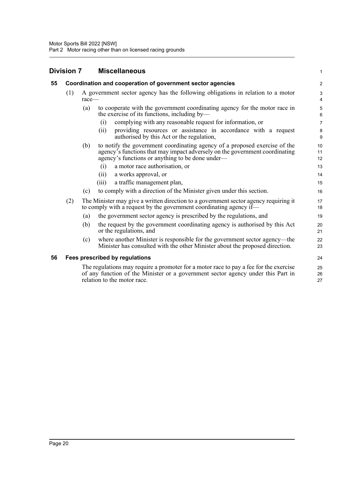<span id="page-30-2"></span><span id="page-30-1"></span><span id="page-30-0"></span>

|    | <b>Division 7</b> |          | <b>Miscellaneous</b>                                                                                                                                                                                          | 1              |
|----|-------------------|----------|---------------------------------------------------------------------------------------------------------------------------------------------------------------------------------------------------------------|----------------|
| 55 |                   |          | Coordination and cooperation of government sector agencies                                                                                                                                                    | $\overline{2}$ |
|    | (1)               | $race$ — | A government sector agency has the following obligations in relation to a motor                                                                                                                               | 3<br>4         |
|    |                   | (a)      | to cooperate with the government coordinating agency for the motor race in<br>the exercise of its functions, including by—                                                                                    | 5<br>6         |
|    |                   |          | complying with any reasonable request for information, or<br>(i)                                                                                                                                              | $\overline{7}$ |
|    |                   |          | providing resources or assistance in accordance with a request<br>(i)<br>authorised by this Act or the regulation,                                                                                            | 8<br>9         |
|    |                   | (b)      | to notify the government coordinating agency of a proposed exercise of the<br>agency's functions that may impact adversely on the government coordinating<br>agency's functions or anything to be done under— | 10<br>11<br>12 |
|    |                   |          | a motor race authorisation, or<br>(i)                                                                                                                                                                         | 13             |
|    |                   |          | a works approval, or<br>(11)                                                                                                                                                                                  | 14             |
|    |                   |          | a traffic management plan,<br>(iii)                                                                                                                                                                           | 15             |
|    |                   | (c)      | to comply with a direction of the Minister given under this section.                                                                                                                                          | 16             |
|    | (2)               |          | The Minister may give a written direction to a government sector agency requiring it<br>to comply with a request by the government coordinating agency if—                                                    | 17<br>18       |
|    |                   | (a)      | the government sector agency is prescribed by the regulations, and                                                                                                                                            | 19             |
|    |                   | (b)      | the request by the government coordinating agency is authorised by this Act<br>or the regulations, and                                                                                                        | 20<br>21       |
|    |                   | (c)      | where another Minister is responsible for the government sector agency—the<br>Minister has consulted with the other Minister about the proposed direction.                                                    | 22<br>23       |
| 56 |                   |          | <b>Fees prescribed by regulations</b>                                                                                                                                                                         | 24             |
|    |                   |          | The regulations may require a promoter for a motor race to pay a fee for the exercise<br>of any function of the Minister or a government sector agency under this Part in<br>relation to the motor race.      | 25<br>26<br>27 |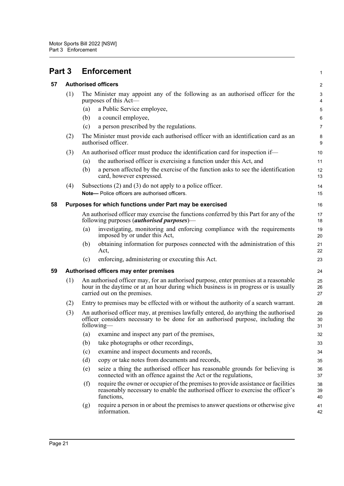<span id="page-31-3"></span><span id="page-31-2"></span><span id="page-31-1"></span><span id="page-31-0"></span>

| Part 3 |     |                                                                                                                                                                                                              | <b>Enforcement</b>                                                                                                                                                                   | 1                       |
|--------|-----|--------------------------------------------------------------------------------------------------------------------------------------------------------------------------------------------------------------|--------------------------------------------------------------------------------------------------------------------------------------------------------------------------------------|-------------------------|
| 57     |     |                                                                                                                                                                                                              | <b>Authorised officers</b>                                                                                                                                                           | $\overline{\mathbf{c}}$ |
|        | (1) |                                                                                                                                                                                                              | The Minister may appoint any of the following as an authorised officer for the<br>purposes of this Act—                                                                              | 3<br>4                  |
|        |     | (a)                                                                                                                                                                                                          | a Public Service employee,                                                                                                                                                           | 5                       |
|        |     | (b)                                                                                                                                                                                                          | a council employee,                                                                                                                                                                  | 6                       |
|        |     | (c)                                                                                                                                                                                                          | a person prescribed by the regulations.                                                                                                                                              | 7                       |
|        | (2) |                                                                                                                                                                                                              | The Minister must provide each authorised officer with an identification card as an<br>authorised officer.                                                                           | 8<br>9                  |
|        | (3) |                                                                                                                                                                                                              | An authorised officer must produce the identification card for inspection if—                                                                                                        | 10                      |
|        |     | (a)                                                                                                                                                                                                          | the authorised officer is exercising a function under this Act, and                                                                                                                  | 11                      |
|        |     | (b)                                                                                                                                                                                                          | a person affected by the exercise of the function asks to see the identification<br>card, however expressed.                                                                         | 12<br>13                |
|        | (4) |                                                                                                                                                                                                              | Subsections $(2)$ and $(3)$ do not apply to a police officer.<br>Note- Police officers are authorised officers.                                                                      | 14                      |
|        |     |                                                                                                                                                                                                              |                                                                                                                                                                                      | 15                      |
| 58     |     |                                                                                                                                                                                                              | Purposes for which functions under Part may be exercised                                                                                                                             | 16                      |
|        |     |                                                                                                                                                                                                              | An authorised officer may exercise the functions conferred by this Part for any of the<br>following purposes ( <i>authorised purposes</i> )—                                         | 17<br>18                |
|        |     | (a)                                                                                                                                                                                                          | investigating, monitoring and enforcing compliance with the requirements<br>imposed by or under this Act,                                                                            | 19<br>20                |
|        |     | (b)                                                                                                                                                                                                          | obtaining information for purposes connected with the administration of this<br>Act,                                                                                                 | 21<br>22                |
|        |     | (c)                                                                                                                                                                                                          | enforcing, administering or executing this Act.                                                                                                                                      | 23                      |
| 59     |     |                                                                                                                                                                                                              | Authorised officers may enter premises                                                                                                                                               | 24                      |
|        | (1) | An authorised officer may, for an authorised purpose, enter premises at a reasonable<br>hour in the daytime or at an hour during which business is in progress or is usually<br>carried out on the premises. |                                                                                                                                                                                      |                         |
|        | (2) |                                                                                                                                                                                                              | Entry to premises may be effected with or without the authority of a search warrant.                                                                                                 | 28                      |
|        | (3) |                                                                                                                                                                                                              | An authorised officer may, at premises lawfully entered, do anything the authorised<br>officer considers necessary to be done for an authorised purpose, including the<br>following- | 29<br>30<br>31          |
|        |     | (a)                                                                                                                                                                                                          | examine and inspect any part of the premises,                                                                                                                                        | 32                      |
|        |     | (b)                                                                                                                                                                                                          | take photographs or other recordings,                                                                                                                                                | 33                      |
|        |     | (c)                                                                                                                                                                                                          | examine and inspect documents and records,                                                                                                                                           | 34                      |
|        |     | (d)                                                                                                                                                                                                          | copy or take notes from documents and records,                                                                                                                                       | 35                      |
|        |     | (e)                                                                                                                                                                                                          | seize a thing the authorised officer has reasonable grounds for believing is<br>connected with an offence against the Act or the regulations,                                        | 36<br>37                |
|        |     | (f)                                                                                                                                                                                                          | require the owner or occupier of the premises to provide assistance or facilities<br>reasonably necessary to enable the authorised officer to exercise the officer's<br>functions,   | 38<br>39<br>40          |
|        |     | (g)                                                                                                                                                                                                          | require a person in or about the premises to answer questions or otherwise give<br>information.                                                                                      | 41<br>42                |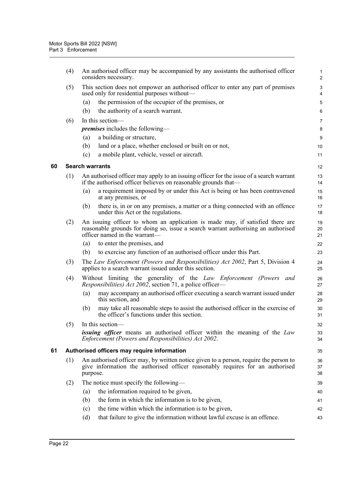<span id="page-32-1"></span><span id="page-32-0"></span>

|    | (4) | An authorised officer may be accompanied by any assistants the authorised officer<br>considers necessary.                                                                                           | $\mathbf{1}$<br>$\overline{2}$ |
|----|-----|-----------------------------------------------------------------------------------------------------------------------------------------------------------------------------------------------------|--------------------------------|
|    | (5) | This section does not empower an authorised officer to enter any part of premises<br>used only for residential purposes without—                                                                    | $\sqrt{3}$<br>4                |
|    |     | the permission of the occupier of the premises, or<br>(a)                                                                                                                                           | $\mathbf 5$                    |
|    |     | the authority of a search warrant.<br>(b)                                                                                                                                                           | 6                              |
|    | (6) | In this section-                                                                                                                                                                                    | 7                              |
|    |     | <i>premises</i> includes the following—                                                                                                                                                             | 8                              |
|    |     | a building or structure,<br>(a)                                                                                                                                                                     | 9                              |
|    |     | land or a place, whether enclosed or built on or not,<br>(b)                                                                                                                                        | 10                             |
|    |     | a mobile plant, vehicle, vessel or aircraft.<br>(c)                                                                                                                                                 | 11                             |
| 60 |     | <b>Search warrants</b>                                                                                                                                                                              | 12                             |
|    | (1) | An authorised officer may apply to an issuing officer for the issue of a search warrant<br>if the authorised officer believes on reasonable grounds that—                                           | 13<br>14                       |
|    |     | a requirement imposed by or under this Act is being or has been contravened<br>(a)<br>at any premises, or                                                                                           | 15<br>16                       |
|    |     | (b)<br>there is, in or on any premises, a matter or a thing connected with an offence<br>under this Act or the regulations.                                                                         | 17<br>18                       |
|    | (2) | An issuing officer to whom an application is made may, if satisfied there are<br>reasonable grounds for doing so, issue a search warrant authorising an authorised<br>officer named in the warrant- | 19<br>20<br>21                 |
|    |     | to enter the premises, and<br>(a)                                                                                                                                                                   | 22                             |
|    |     | to exercise any function of an authorised officer under this Part.<br>(b)                                                                                                                           | 23                             |
|    | (3) | The Law Enforcement (Powers and Responsibilities) Act 2002, Part 5, Division 4<br>applies to a search warrant issued under this section.                                                            | 24<br>25                       |
|    | (4) | Without limiting the generality of the Law Enforcement (Powers and<br>Responsibilities) Act 2002, section 71, a police officer-                                                                     | 26<br>27                       |
|    |     | may accompany an authorised officer executing a search warrant issued under<br>(a)<br>this section, and                                                                                             | 28<br>29                       |
|    |     | (b)<br>may take all reasonable steps to assist the authorised officer in the exercise of<br>the officer's functions under this section.                                                             | 30<br>31                       |
|    | (5) | In this section-                                                                                                                                                                                    | 32                             |
|    |     | <b>issuing officer</b> means an authorised officer within the meaning of the Law<br>Enforcement (Powers and Responsibilities) Act 2002.                                                             | 33<br>34                       |
| 61 |     | Authorised officers may require information                                                                                                                                                         | 35                             |
|    | (1) | An authorised officer may, by written notice given to a person, require the person to<br>give information the authorised officer reasonably requires for an authorised<br>purpose.                  | 36<br>37<br>38                 |
|    | (2) | The notice must specify the following—                                                                                                                                                              | 39                             |
|    |     | the information required to be given,<br>(a)                                                                                                                                                        | 40                             |
|    |     | the form in which the information is to be given,<br>(b)                                                                                                                                            | 41                             |
|    |     | the time within which the information is to be given,<br>(c)                                                                                                                                        | 42                             |
|    |     | that failure to give the information without lawful excuse is an offence.<br>(d)                                                                                                                    | 43                             |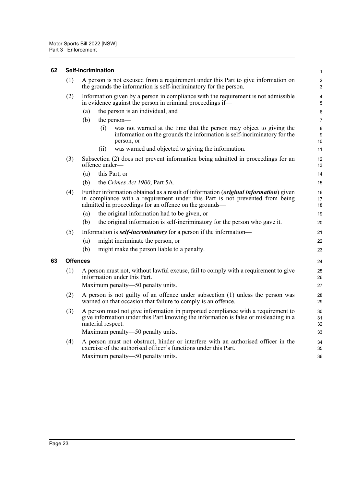#### <span id="page-33-0"></span>**62 Self-incrimination**

| (1)             | A person is not excused from a requirement under this Part to give information on<br>the grounds the information is self-incriminatory for the person. |                   |                                                                                                                                                                                                                                         | $\overline{2}$<br>3 |
|-----------------|--------------------------------------------------------------------------------------------------------------------------------------------------------|-------------------|-----------------------------------------------------------------------------------------------------------------------------------------------------------------------------------------------------------------------------------------|---------------------|
| (2)             | Information given by a person in compliance with the requirement is not admissible<br>in evidence against the person in criminal proceedings if—       |                   |                                                                                                                                                                                                                                         | 4<br>5              |
|                 | (a)                                                                                                                                                    |                   | the person is an individual, and                                                                                                                                                                                                        | 6                   |
|                 | (b)                                                                                                                                                    |                   | the person—                                                                                                                                                                                                                             | $\overline{7}$      |
|                 |                                                                                                                                                        | (i)               | was not warned at the time that the person may object to giving the<br>information on the grounds the information is self-incriminatory for the<br>person, or                                                                           | 8<br>9<br>10        |
|                 |                                                                                                                                                        | (ii)              | was warned and objected to giving the information.                                                                                                                                                                                      | 11                  |
| (3)             |                                                                                                                                                        | offence under—    | Subsection (2) does not prevent information being admitted in proceedings for an                                                                                                                                                        | 12<br>13            |
|                 | (a)                                                                                                                                                    |                   | this Part, or                                                                                                                                                                                                                           | 14                  |
|                 | (b)                                                                                                                                                    |                   | the Crimes Act 1900, Part 5A.                                                                                                                                                                                                           | 15                  |
| (4)             |                                                                                                                                                        |                   | Further information obtained as a result of information ( <i>original information</i> ) given<br>in compliance with a requirement under this Part is not prevented from being<br>admitted in proceedings for an offence on the grounds— | 16<br>17<br>18      |
|                 | (a)                                                                                                                                                    |                   | the original information had to be given, or                                                                                                                                                                                            | 19                  |
|                 | (b)                                                                                                                                                    |                   | the original information is self-incriminatory for the person who gave it.                                                                                                                                                              | 20                  |
| (5)             |                                                                                                                                                        |                   | Information is <b><i>self-incriminatory</i></b> for a person if the information—                                                                                                                                                        | 21                  |
|                 | (a)                                                                                                                                                    |                   | might incriminate the person, or                                                                                                                                                                                                        | 22                  |
|                 | (b)                                                                                                                                                    |                   | might make the person liable to a penalty.                                                                                                                                                                                              | 23                  |
| <b>Offences</b> |                                                                                                                                                        |                   |                                                                                                                                                                                                                                         | 24                  |
| (1)             |                                                                                                                                                        |                   | A person must not, without lawful excuse, fail to comply with a requirement to give<br>information under this Part.                                                                                                                     | 25<br>26            |
|                 |                                                                                                                                                        |                   | Maximum penalty—50 penalty units.                                                                                                                                                                                                       | 27                  |
| (2)             |                                                                                                                                                        |                   | A person is not guilty of an offence under subsection (1) unless the person was<br>warned on that occasion that failure to comply is an offence.                                                                                        | 28<br>29            |
| (3)             |                                                                                                                                                        | material respect. | A person must not give information in purported compliance with a requirement to<br>give information under this Part knowing the information is false or misleading in a                                                                | 30<br>31<br>32      |
|                 |                                                                                                                                                        |                   | Maximum penalty—50 penalty units.                                                                                                                                                                                                       | 33                  |
| (4)             |                                                                                                                                                        |                   | A person must not obstruct, hinder or interfere with an authorised officer in the<br>exercise of the authorised officer's functions under this Part.<br>Maximum penalty-50 penalty units.                                               | 34<br>35<br>36      |
|                 |                                                                                                                                                        |                   |                                                                                                                                                                                                                                         |                     |

1

<span id="page-33-1"></span>**63 Offences**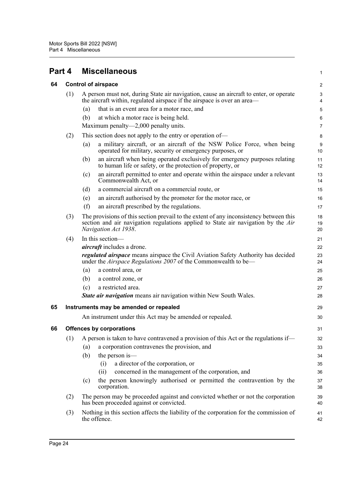<span id="page-34-0"></span>

<span id="page-34-3"></span><span id="page-34-2"></span><span id="page-34-1"></span>

| 64 |     | <b>Control of airspace</b>                                                                                                                                                                          | $\boldsymbol{2}$ |  |
|----|-----|-----------------------------------------------------------------------------------------------------------------------------------------------------------------------------------------------------|------------------|--|
|    | (1) | A person must not, during State air navigation, cause an aircraft to enter, or operate<br>the aircraft within, regulated airspace if the airspace is over an area—                                  |                  |  |
|    |     | that is an event area for a motor race, and<br>(a)                                                                                                                                                  | 5                |  |
|    |     | (b)<br>at which a motor race is being held.                                                                                                                                                         | 6                |  |
|    |     | Maximum penalty—2,000 penalty units.                                                                                                                                                                | 7                |  |
|    | (2) | This section does not apply to the entry or operation of—                                                                                                                                           | 8                |  |
|    |     | a military aircraft, or an aircraft of the NSW Police Force, when being<br>(a)<br>operated for military, security or emergency purposes, or                                                         | $9\,$<br>10      |  |
|    |     | an aircraft when being operated exclusively for emergency purposes relating<br>(b)<br>to human life or safety, or the protection of property, or                                                    | 11<br>12         |  |
|    |     | an aircraft permitted to enter and operate within the airspace under a relevant<br>(c)<br>Commonwealth Act, or                                                                                      | 13<br>14         |  |
|    |     | a commercial aircraft on a commercial route, or<br>(d)                                                                                                                                              | 15               |  |
|    |     | an aircraft authorised by the promoter for the motor race, or<br>(e)                                                                                                                                | 16               |  |
|    |     | (f)<br>an aircraft prescribed by the regulations.                                                                                                                                                   | 17               |  |
|    | (3) | The provisions of this section prevail to the extent of any inconsistency between this<br>section and air navigation regulations applied to State air navigation by the Air<br>Navigation Act 1938. |                  |  |
|    | (4) | In this section-                                                                                                                                                                                    | 21               |  |
|    |     | <i>aircraft</i> includes a drone.                                                                                                                                                                   | 22               |  |
|    |     | <i>regulated airspace</i> means airspace the Civil Aviation Safety Authority has decided<br>under the Airspace Regulations 2007 of the Commonwealth to be—                                          | 23<br>24         |  |
|    |     | a control area, or<br>(a)                                                                                                                                                                           | 25               |  |
|    |     | (b)<br>a control zone, or                                                                                                                                                                           | 26               |  |
|    |     | a restricted area.<br>(c)                                                                                                                                                                           | 27               |  |
|    |     | <b>State air navigation</b> means air navigation within New South Wales.                                                                                                                            | 28               |  |
| 65 |     | Instruments may be amended or repealed                                                                                                                                                              | 29               |  |
|    |     | An instrument under this Act may be amended or repealed.                                                                                                                                            | 30               |  |
| 66 |     | <b>Offences by corporations</b>                                                                                                                                                                     | 31               |  |
|    |     | (1) A person is taken to have contravened a provision of this Act or the regulations if—                                                                                                            | 32               |  |
|    |     | a corporation contravenes the provision, and<br>(a)                                                                                                                                                 | 33               |  |
|    |     | (b)<br>the person is—                                                                                                                                                                               | 34               |  |
|    |     | a director of the corporation, or<br>(i)                                                                                                                                                            | 35               |  |
|    |     | concerned in the management of the corporation, and<br>(ii)                                                                                                                                         | 36               |  |
|    |     | the person knowingly authorised or permitted the contravention by the<br>(c)<br>corporation.                                                                                                        | 37<br>38         |  |
|    | (2) | The person may be proceeded against and convicted whether or not the corporation<br>has been proceeded against or convicted.                                                                        | 39<br>40         |  |
|    | (3) | Nothing in this section affects the liability of the corporation for the commission of<br>the offence.                                                                                              |                  |  |

1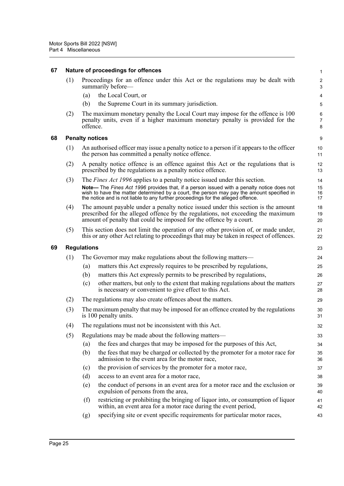<span id="page-35-2"></span><span id="page-35-1"></span><span id="page-35-0"></span>

| 67 |                        |                                                                                                                                                  | Nature of proceedings for offences                                                                                                                                                                                                                                         | 1                            |  |  |  |
|----|------------------------|--------------------------------------------------------------------------------------------------------------------------------------------------|----------------------------------------------------------------------------------------------------------------------------------------------------------------------------------------------------------------------------------------------------------------------------|------------------------------|--|--|--|
|    | (1)                    |                                                                                                                                                  | Proceedings for an offence under this Act or the regulations may be dealt with<br>summarily before—                                                                                                                                                                        | $\overline{\mathbf{c}}$<br>3 |  |  |  |
|    |                        | (a)                                                                                                                                              | the Local Court, or                                                                                                                                                                                                                                                        | 4                            |  |  |  |
|    |                        | (b)                                                                                                                                              | the Supreme Court in its summary jurisdiction.                                                                                                                                                                                                                             | 5                            |  |  |  |
|    | (2)                    | offence.                                                                                                                                         | The maximum monetary penalty the Local Court may impose for the offence is 100<br>penalty units, even if a higher maximum monetary penalty is provided for the                                                                                                             | 6<br>7<br>8                  |  |  |  |
| 68 | <b>Penalty notices</b> |                                                                                                                                                  |                                                                                                                                                                                                                                                                            |                              |  |  |  |
|    | (1)                    |                                                                                                                                                  | An authorised officer may issue a penalty notice to a person if it appears to the officer<br>the person has committed a penalty notice offence.                                                                                                                            | 10<br>11                     |  |  |  |
|    | (2)                    | A penalty notice offence is an offence against this Act or the regulations that is<br>prescribed by the regulations as a penalty notice offence. |                                                                                                                                                                                                                                                                            |                              |  |  |  |
|    | (3)                    |                                                                                                                                                  | The <i>Fines Act 1996</i> applies to a penalty notice issued under this section.                                                                                                                                                                                           | 14                           |  |  |  |
|    |                        |                                                                                                                                                  | Note— The Fines Act 1996 provides that, if a person issued with a penalty notice does not<br>wish to have the matter determined by a court, the person may pay the amount specified in<br>the notice and is not liable to any further proceedings for the alleged offence. | 15<br>16<br>17               |  |  |  |
|    | (4)                    |                                                                                                                                                  | The amount payable under a penalty notice issued under this section is the amount<br>prescribed for the alleged offence by the regulations, not exceeding the maximum<br>amount of penalty that could be imposed for the offence by a court.                               | 18<br>19<br>20               |  |  |  |
|    | (5)                    |                                                                                                                                                  | This section does not limit the operation of any other provision of, or made under,<br>this or any other Act relating to proceedings that may be taken in respect of offences.                                                                                             | 21<br>22                     |  |  |  |
| 69 |                        | <b>Regulations</b>                                                                                                                               |                                                                                                                                                                                                                                                                            | 23                           |  |  |  |
|    | (1)                    |                                                                                                                                                  | The Governor may make regulations about the following matters—                                                                                                                                                                                                             | 24                           |  |  |  |
|    |                        | (a)                                                                                                                                              | matters this Act expressly requires to be prescribed by regulations,                                                                                                                                                                                                       | 25                           |  |  |  |
|    |                        | (b)                                                                                                                                              | matters this Act expressly permits to be prescribed by regulations,                                                                                                                                                                                                        | 26                           |  |  |  |
|    |                        | (c)                                                                                                                                              | other matters, but only to the extent that making regulations about the matters<br>is necessary or convenient to give effect to this Act.                                                                                                                                  | 27<br>28                     |  |  |  |
|    | (2)                    |                                                                                                                                                  | The regulations may also create offences about the matters.                                                                                                                                                                                                                | 29                           |  |  |  |
|    | (3)                    | The maximum penalty that may be imposed for an offence created by the regulations<br>is 100 penalty units.                                       |                                                                                                                                                                                                                                                                            |                              |  |  |  |
|    | (4)                    | The regulations must not be inconsistent with this Act.                                                                                          |                                                                                                                                                                                                                                                                            |                              |  |  |  |
|    | (5)                    |                                                                                                                                                  | Regulations may be made about the following matters—                                                                                                                                                                                                                       | 33                           |  |  |  |
|    |                        | (a)                                                                                                                                              | the fees and charges that may be imposed for the purposes of this Act,                                                                                                                                                                                                     | 34                           |  |  |  |
|    |                        | (b)                                                                                                                                              | the fees that may be charged or collected by the promoter for a motor race for<br>admission to the event area for the motor race,                                                                                                                                          | 35<br>36                     |  |  |  |
|    |                        | (c)                                                                                                                                              | the provision of services by the promoter for a motor race,                                                                                                                                                                                                                | 37                           |  |  |  |
|    |                        | (d)                                                                                                                                              | access to an event area for a motor race,                                                                                                                                                                                                                                  | 38                           |  |  |  |
|    |                        | (e)                                                                                                                                              | the conduct of persons in an event area for a motor race and the exclusion or<br>expulsion of persons from the area,                                                                                                                                                       | 39<br>40                     |  |  |  |
|    |                        | (f)                                                                                                                                              | restricting or prohibiting the bringing of liquor into, or consumption of liquor<br>within, an event area for a motor race during the event period,                                                                                                                        | 41<br>42                     |  |  |  |
|    |                        | (g)                                                                                                                                              | specifying site or event specific requirements for particular motor races,                                                                                                                                                                                                 | 43                           |  |  |  |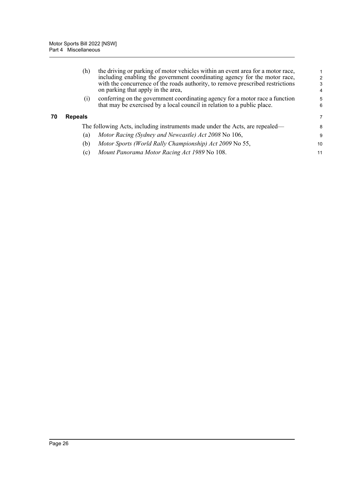<span id="page-36-0"></span>

|    | (h)                                                                          | the driving or parking of motor vehicles within an event area for a motor race,<br>including enabling the government coordinating agency for the motor race,<br>with the concurrence of the roads authority, to remove prescribed restrictions<br>on parking that apply in the area, | $\mathcal{P}$<br>3<br>4 |
|----|------------------------------------------------------------------------------|--------------------------------------------------------------------------------------------------------------------------------------------------------------------------------------------------------------------------------------------------------------------------------------|-------------------------|
|    | $\left( 1\right)$                                                            | conferring on the government coordinating agency for a motor race a function<br>that may be exercised by a local council in relation to a public place.                                                                                                                              | 5<br>6                  |
| 70 | <b>Repeals</b>                                                               |                                                                                                                                                                                                                                                                                      | 7                       |
|    | The following Acts, including instruments made under the Acts, are repealed— |                                                                                                                                                                                                                                                                                      |                         |
|    | (a)                                                                          | Motor Racing (Sydney and Newcastle) Act 2008 No 106,                                                                                                                                                                                                                                 | 9                       |
|    | (b)                                                                          | Motor Sports (World Rally Championship) Act 2009 No 55,                                                                                                                                                                                                                              | 10                      |
|    | (c)                                                                          | Mount Panorama Motor Racing Act 1989 No 108.                                                                                                                                                                                                                                         | 11                      |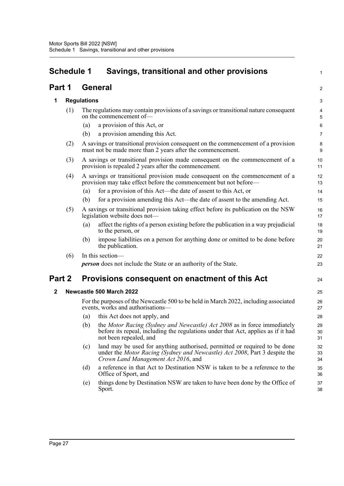# <span id="page-37-0"></span>**Schedule 1 Savings, transitional and other provisions**

1

2

### **Part 1 General**

#### **1 Regulations**

| 1      |     | <b>Regulations</b> |                                                                                                                                                                                                 | 3              |
|--------|-----|--------------------|-------------------------------------------------------------------------------------------------------------------------------------------------------------------------------------------------|----------------|
|        | (1) |                    | The regulations may contain provisions of a savings or transitional nature consequent<br>on the commencement of-                                                                                | 4<br>5         |
|        |     | (a)                | a provision of this Act, or                                                                                                                                                                     | 6              |
|        |     | (b)                | a provision amending this Act.                                                                                                                                                                  | $\overline{7}$ |
|        | (2) |                    | A savings or transitional provision consequent on the commencement of a provision<br>must not be made more than 2 years after the commencement.                                                 | 8<br>9         |
|        | (3) |                    | A savings or transitional provision made consequent on the commencement of a<br>provision is repealed 2 years after the commencement.                                                           | 10<br>11       |
|        | (4) |                    | A savings or transitional provision made consequent on the commencement of a<br>provision may take effect before the commencement but not before—                                               | 12<br>13       |
|        |     | (a)                | for a provision of this Act—the date of assent to this Act, or                                                                                                                                  | 14             |
|        |     | (b)                | for a provision amending this Act—the date of assent to the amending Act.                                                                                                                       | 15             |
|        | (5) |                    | A savings or transitional provision taking effect before its publication on the NSW<br>legislation website does not-                                                                            | 16<br>17       |
|        |     | (a)                | affect the rights of a person existing before the publication in a way prejudicial<br>to the person, or                                                                                         | 18<br>19       |
|        |     | (b)                | impose liabilities on a person for anything done or omitted to be done before<br>the publication.                                                                                               | 20<br>21       |
|        | (6) |                    | In this section-                                                                                                                                                                                | 22             |
|        |     |                    | <b>person</b> does not include the State or an authority of the State.                                                                                                                          | 23             |
| Part 2 |     |                    | Provisions consequent on enactment of this Act                                                                                                                                                  | 24             |
| 2      |     |                    | Newcastle 500 March 2022                                                                                                                                                                        | 25             |
|        |     |                    | For the purposes of the Newcastle 500 to be held in March 2022, including associated<br>events, works and authorisations-                                                                       | 26<br>27       |
|        |     | (a)                | this Act does not apply, and                                                                                                                                                                    | 28             |
|        |     | (b)                | the Motor Racing (Sydney and Newcastle) Act 2008 as in force immediately<br>before its repeal, including the regulations under that Act, applies as if it had<br>not been repealed, and         | 29<br>30<br>31 |
|        |     | (c)                | land may be used for anything authorised, permitted or required to be done<br>under the Motor Racing (Sydney and Newcastle) Act 2008, Part 3 despite the<br>Crown Land Management Act 2016, and | 32<br>33<br>34 |
|        |     | (d)                | a reference in that Act to Destination NSW is taken to be a reference to the<br>Office of Sport, and                                                                                            | 35<br>36       |
|        |     | (e)                | things done by Destination NSW are taken to have been done by the Office of<br>Sport.                                                                                                           | 37<br>38       |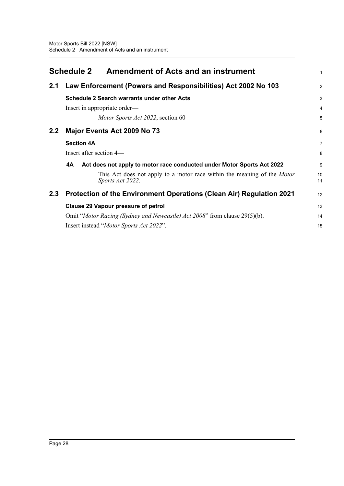<span id="page-38-0"></span>

|     | <b>Schedule 2</b><br><b>Amendment of Acts and an instrument</b>                                    | 1              |  |  |
|-----|----------------------------------------------------------------------------------------------------|----------------|--|--|
| 2.1 | Law Enforcement (Powers and Responsibilities) Act 2002 No 103                                      | $\overline{2}$ |  |  |
|     | <b>Schedule 2 Search warrants under other Acts</b>                                                 | 3              |  |  |
|     | Insert in appropriate order—                                                                       | $\overline{4}$ |  |  |
|     | Motor Sports Act 2022, section 60                                                                  | 5              |  |  |
| 2.2 | Major Events Act 2009 No 73                                                                        | 6              |  |  |
|     | <b>Section 4A</b>                                                                                  | 7              |  |  |
|     | Insert after section 4—                                                                            | 8              |  |  |
|     | Act does not apply to motor race conducted under Motor Sports Act 2022<br>4A                       | 9              |  |  |
|     | This Act does not apply to a motor race within the meaning of the <i>Motor</i><br>Sports Act 2022. | 10<br>11       |  |  |
| 2.3 | Protection of the Environment Operations (Clean Air) Regulation 2021                               | 12             |  |  |
|     | <b>Clause 29 Vapour pressure of petrol</b>                                                         |                |  |  |
|     | Omit "Motor Racing (Sydney and Newcastle) Act 2008" from clause 29(5)(b).                          | 14             |  |  |
|     | Insert instead " <i>Motor Sports Act 2022</i> ".                                                   | 15             |  |  |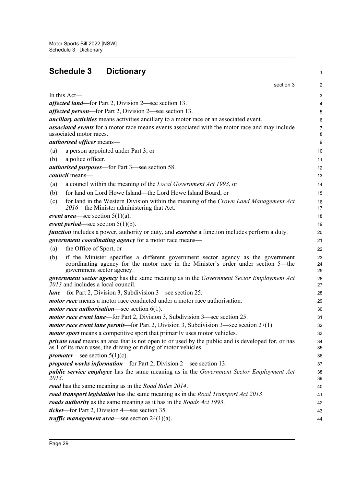<span id="page-39-0"></span>

| <b>Schedule 3</b><br><b>Dictionary</b>                                                                                                                                                                     | 1                           |
|------------------------------------------------------------------------------------------------------------------------------------------------------------------------------------------------------------|-----------------------------|
|                                                                                                                                                                                                            | section 3<br>$\overline{2}$ |
| In this Act—                                                                                                                                                                                               | 3                           |
| <i>affected land—for Part 2, Division 2—see section 13.</i>                                                                                                                                                | 4                           |
| <i>affected person</i> —for Part 2, Division 2—see section 13.                                                                                                                                             | 5                           |
| <i>ancillary activities</i> means activities ancillary to a motor race or an associated event.                                                                                                             | 6                           |
| associated events for a motor race means events associated with the motor race and may include<br>associated motor races.                                                                                  | 7<br>8                      |
| <i>authorised officer</i> means—                                                                                                                                                                           | 9                           |
| a person appointed under Part 3, or<br>(a)                                                                                                                                                                 | 10                          |
| a police officer.<br>(b)                                                                                                                                                                                   | 11                          |
| <i>authorised purposes</i> —for Part 3—see section 58.                                                                                                                                                     | 12                          |
| council means-                                                                                                                                                                                             | 13                          |
| a council within the meaning of the <i>Local Government Act 1993</i> , or<br>(a)                                                                                                                           | 14                          |
| for land on Lord Howe Island—the Lord Howe Island Board, or<br>(b)                                                                                                                                         | 15                          |
| for land in the Western Division within the meaning of the Crown Land Management Act<br>(c)<br>2016—the Minister administering that Act.                                                                   | 16<br>17                    |
| <i>event area</i> —see section $5(1)(a)$ .                                                                                                                                                                 | 18                          |
| <i>event period</i> —see section $5(1)(b)$ .                                                                                                                                                               | 19                          |
| function includes a power, authority or duty, and exercise a function includes perform a duty.                                                                                                             | 20                          |
| government coordinating agency for a motor race means-                                                                                                                                                     | 21                          |
| the Office of Sport, or<br>(a)                                                                                                                                                                             | 22                          |
| if the Minister specifies a different government sector agency as the government<br>(b)<br>coordinating agency for the motor race in the Minister's order under section 5-the<br>government sector agency. | 23<br>24<br>25              |
| government sector agency has the same meaning as in the Government Sector Employment Act<br>2013 and includes a local council.                                                                             | 26<br>27                    |
| <i>lane</i> —for Part 2, Division 3, Subdivision 3—see section 25.                                                                                                                                         | 28                          |
| <i>motor race</i> means a motor race conducted under a motor race authorisation.                                                                                                                           | 29                          |
| <i>motor race authorisation</i> —see section $6(1)$ .                                                                                                                                                      | 30                          |
| <i>motor race event lane</i> —for Part 2, Division 3, Subdivision 3—see section 25.                                                                                                                        | 31                          |
| <i>motor race event lane permit—for Part 2, Division 3, Subdivision 3—see section <math>27(1)</math>.</i>                                                                                                  | 32                          |
| <i>motor sport</i> means a competitive sport that primarily uses motor vehicles.                                                                                                                           | 33                          |
| <i>private road</i> means an area that is not open to or used by the public and is developed for, or has<br>as 1 of its main uses, the driving or riding of motor vehicles.                                | 34<br>35                    |
| <i>promoter</i> —see section $5(1)(c)$ .                                                                                                                                                                   | 36                          |
| <i>proposed works information</i> —for Part 2, Division 2—see section 13.                                                                                                                                  | 37                          |
| <i>public service employee</i> has the same meaning as in the <i>Government Sector Employment Act</i><br>2013.                                                                                             | 38<br>39                    |
| road has the same meaning as in the Road Rules 2014.                                                                                                                                                       | 40                          |
| road transport legislation has the same meaning as in the Road Transport Act 2013.                                                                                                                         | 41                          |
| roads authority as the same meaning as it has in the Roads Act 1993.                                                                                                                                       | 42                          |
| <i>ticket</i> —for Part 2, Division 4—see section 35.                                                                                                                                                      | 43                          |
| <i>traffic management area</i> —see section $24(1)(a)$ .                                                                                                                                                   | 44                          |